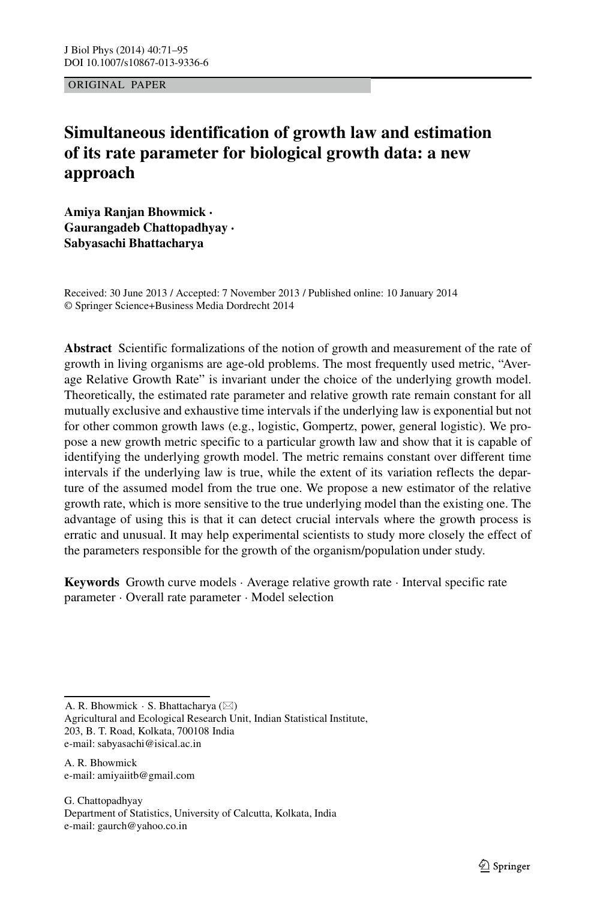ORIGINAL PAPER

# **Simultaneous identification of growth law and estimation of its rate parameter for biological growth data: a new approach**

**Amiya Ranjan Bhowmick · Gaurangadeb Chattopadhyay · Sabyasachi Bhattacharya**

Received: 30 June 2013 / Accepted: 7 November 2013 / Published online: 10 January 2014 © Springer Science+Business Media Dordrecht 2014

**Abstract** Scientific formalizations of the notion of growth and measurement of the rate of growth in living organisms are age-old problems. The most frequently used metric, "Average Relative Growth Rate" is invariant under the choice of the underlying growth model. Theoretically, the estimated rate parameter and relative growth rate remain constant for all mutually exclusive and exhaustive time intervals if the underlying law is exponential but not for other common growth laws (e.g., logistic, Gompertz, power, general logistic). We propose a new growth metric specific to a particular growth law and show that it is capable of identifying the underlying growth model. The metric remains constant over different time intervals if the underlying law is true, while the extent of its variation reflects the departure of the assumed model from the true one. We propose a new estimator of the relative growth rate, which is more sensitive to the true underlying model than the existing one. The advantage of using this is that it can detect crucial intervals where the growth process is erratic and unusual. It may help experimental scientists to study more closely the effect of the parameters responsible for the growth of the organism/population under study.

**Keywords** Growth curve models · Average relative growth rate · Interval specific rate parameter · Overall rate parameter · Model selection

A. R. Bhowmick  $\cdot$  S. Bhattacharya ( $\boxtimes$ )

Agricultural and Ecological Research Unit, Indian Statistical Institute, 203, B. T. Road, Kolkata, 700108 India e-mail: [sabyasachi@isical.ac.in](mailto:sabyasachi@isical.ac.in)

A. R. Bhowmick e-mail: [amiyaiitb@gmail.com](mailto:amiyaiitb@gmail.com)

G. Chattopadhyay Department of Statistics, University of Calcutta, Kolkata, India e-mail: [gaurch@yahoo.co.in](mailto:gaurch@yahoo.co.in)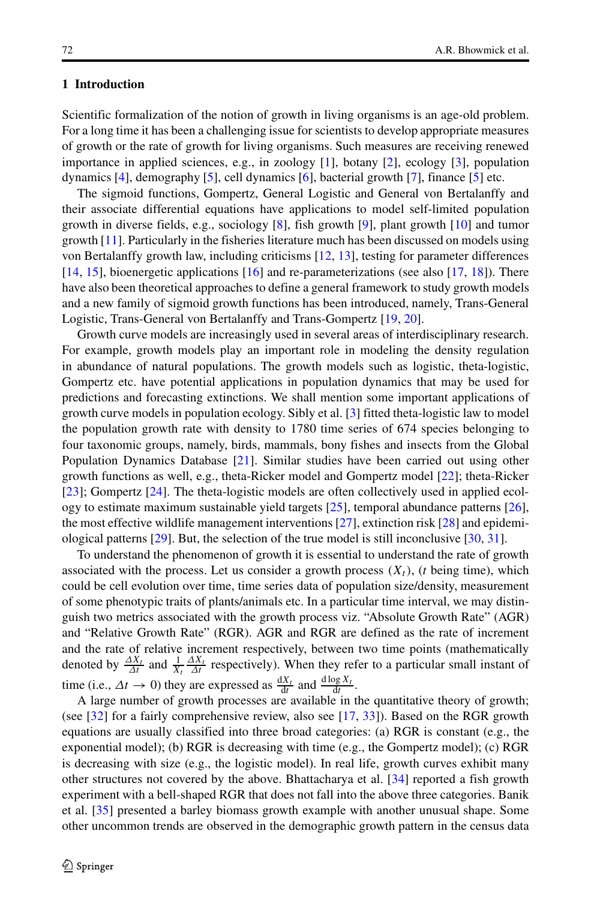# **1 Introduction**

Scientific formalization of the notion of growth in living organisms is an age-old problem. For a long time it has been a challenging issue for scientists to develop appropriate measures of growth or the rate of growth for living organisms. Such measures are receiving renewed importance in applied sciences, e.g., in zoology [\[1\]](#page-23-0), botany [\[2\]](#page-23-1), ecology [\[3\]](#page-23-2), population dynamics [\[4\]](#page-23-3), demography [\[5\]](#page-23-4), cell dynamics [\[6\]](#page-23-5), bacterial growth [\[7\]](#page-23-6), finance [\[5\]](#page-23-4) etc.

The sigmoid functions, Gompertz, General Logistic and General von Bertalanffy and their associate differential equations have applications to model self-limited population growth in diverse fields, e.g., sociology [\[8\]](#page-23-7), fish growth [\[9\]](#page-23-8), plant growth [\[10\]](#page-23-9) and tumor growth [\[11\]](#page-23-10). Particularly in the fisheries literature much has been discussed on models using von Bertalanffy growth law, including criticisms [\[12,](#page-23-11) [13\]](#page-23-12), testing for parameter differences [\[14,](#page-23-13) [15\]](#page-23-14), bioenergetic applications [\[16\]](#page-23-15) and re-parameterizations (see also [\[17,](#page-23-16) [18\]](#page-23-17)). There have also been theoretical approaches to define a general framework to study growth models and a new family of sigmoid growth functions has been introduced, namely, Trans-General Logistic, Trans-General von Bertalanffy and Trans-Gompertz [\[19,](#page-23-18) [20\]](#page-23-19).

Growth curve models are increasingly used in several areas of interdisciplinary research. For example, growth models play an important role in modeling the density regulation in abundance of natural populations. The growth models such as logistic, theta-logistic, Gompertz etc. have potential applications in population dynamics that may be used for predictions and forecasting extinctions. We shall mention some important applications of growth curve models in population ecology. Sibly et al. [\[3\]](#page-23-2) fitted theta-logistic law to model the population growth rate with density to 1780 time series of 674 species belonging to four taxonomic groups, namely, birds, mammals, bony fishes and insects from the Global Population Dynamics Database [\[21\]](#page-23-20). Similar studies have been carried out using other growth functions as well, e.g., theta-Ricker model and Gompertz model [\[22\]](#page-23-21); theta-Ricker [\[23\]](#page-23-22); Gompertz [\[24\]](#page-23-23). The theta-logistic models are often collectively used in applied ecology to estimate maximum sustainable yield targets  $[25]$ , temporal abundance patterns  $[26]$ , the most effective wildlife management interventions [\[27\]](#page-23-26), extinction risk [\[28\]](#page-23-27) and epidemiological patterns [\[29\]](#page-23-28). But, the selection of the true model is still inconclusive [\[30,](#page-24-0) [31\]](#page-24-1).

To understand the phenomenon of growth it is essential to understand the rate of growth associated with the process. Let us consider a growth process  $(X_t)$ ,  $(t$  being time), which could be cell evolution over time, time series data of population size/density, measurement of some phenotypic traits of plants/animals etc. In a particular time interval, we may distinguish two metrics associated with the growth process viz. "Absolute Growth Rate" (AGR) and "Relative Growth Rate" (RGR). AGR and RGR are defined as the rate of increment and the rate of relative increment respectively, between two time points (mathematically denoted by  $\frac{\Delta X_t}{\Delta t}$  and  $\frac{1}{X_t} \frac{\Delta X_t}{\Delta t}$  respectively). When they refer to a particular small instant of time (i.e.,  $\Delta t \to 0$ ) they are expressed as  $\frac{dX_t}{dt}$  and  $\frac{d\log X_t}{dt}$ .

A large number of growth processes are available in the quantitative theory of growth; (see [\[32\]](#page-24-2) for a fairly comprehensive review, also see [\[17,](#page-23-16) [33\]](#page-24-3)). Based on the RGR growth equations are usually classified into three broad categories: (a) RGR is constant (e.g., the exponential model); (b) RGR is decreasing with time (e.g., the Gompertz model); (c) RGR is decreasing with size (e.g., the logistic model). In real life, growth curves exhibit many other structures not covered by the above. Bhattacharya et al. [\[34\]](#page-24-4) reported a fish growth experiment with a bell-shaped RGR that does not fall into the above three categories. Banik et al. [\[35\]](#page-24-5) presented a barley biomass growth example with another unusual shape. Some other uncommon trends are observed in the demographic growth pattern in the census data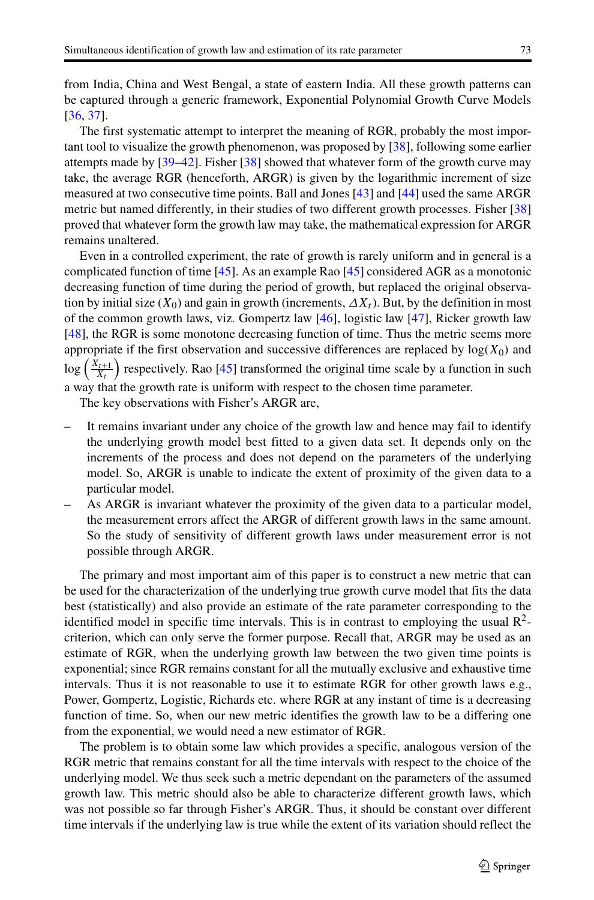from India, China and West Bengal, a state of eastern India. All these growth patterns can be captured through a generic framework, Exponential Polynomial Growth Curve Models [\[36,](#page-24-6) [37\]](#page-24-7).

The first systematic attempt to interpret the meaning of RGR, probably the most important tool to visualize the growth phenomenon, was proposed by [\[38\]](#page-24-8), following some earlier attempts made by [\[39](#page-24-9)[–42\]](#page-24-10). Fisher [\[38\]](#page-24-8) showed that whatever form of the growth curve may take, the average RGR (henceforth, ARGR) is given by the logarithmic increment of size measured at two consecutive time points. Ball and Jones [\[43\]](#page-24-11) and [\[44\]](#page-24-12) used the same ARGR metric but named differently, in their studies of two different growth processes. Fisher [\[38\]](#page-24-8) proved that whatever form the growth law may take, the mathematical expression for ARGR remains unaltered.

Even in a controlled experiment, the rate of growth is rarely uniform and in general is a complicated function of time [\[45\]](#page-24-13). As an example Rao [\[45\]](#page-24-13) considered AGR as a monotonic decreasing function of time during the period of growth, but replaced the original observation by initial size  $(X_0)$  and gain in growth (increments,  $\Delta X_t$ ). But, by the definition in most of the common growth laws, viz. Gompertz law [\[46\]](#page-24-14), logistic law [\[47\]](#page-24-15), Ricker growth law [\[48\]](#page-24-16), the RGR is some monotone decreasing function of time. Thus the metric seems more appropriate if the first observation and successive differences are replaced by  $log(X_0)$  and  $log\left(\frac{X_{t+1}}{X_t}\right)$  respectively. Rao [\[45\]](#page-24-13) transformed the original time scale by a function in such a way that the growth rate is uniform with respect to the chosen time parameter.

The key observations with Fisher's ARGR are,

- It remains invariant under any choice of the growth law and hence may fail to identify the underlying growth model best fitted to a given data set. It depends only on the increments of the process and does not depend on the parameters of the underlying model. So, ARGR is unable to indicate the extent of proximity of the given data to a particular model.
- As ARGR is invariant whatever the proximity of the given data to a particular model, the measurement errors affect the ARGR of different growth laws in the same amount. So the study of sensitivity of different growth laws under measurement error is not possible through ARGR.

The primary and most important aim of this paper is to construct a new metric that can be used for the characterization of the underlying true growth curve model that fits the data best (statistically) and also provide an estimate of the rate parameter corresponding to the identified model in specific time intervals. This is in contrast to employing the usual  $\mathbb{R}^2$ criterion, which can only serve the former purpose. Recall that, ARGR may be used as an estimate of RGR, when the underlying growth law between the two given time points is exponential; since RGR remains constant for all the mutually exclusive and exhaustive time intervals. Thus it is not reasonable to use it to estimate RGR for other growth laws e.g., Power, Gompertz, Logistic, Richards etc. where RGR at any instant of time is a decreasing function of time. So, when our new metric identifies the growth law to be a differing one from the exponential, we would need a new estimator of RGR.

The problem is to obtain some law which provides a specific, analogous version of the RGR metric that remains constant for all the time intervals with respect to the choice of the underlying model. We thus seek such a metric dependant on the parameters of the assumed growth law. This metric should also be able to characterize different growth laws, which was not possible so far through Fisher's ARGR. Thus, it should be constant over different time intervals if the underlying law is true while the extent of its variation should reflect the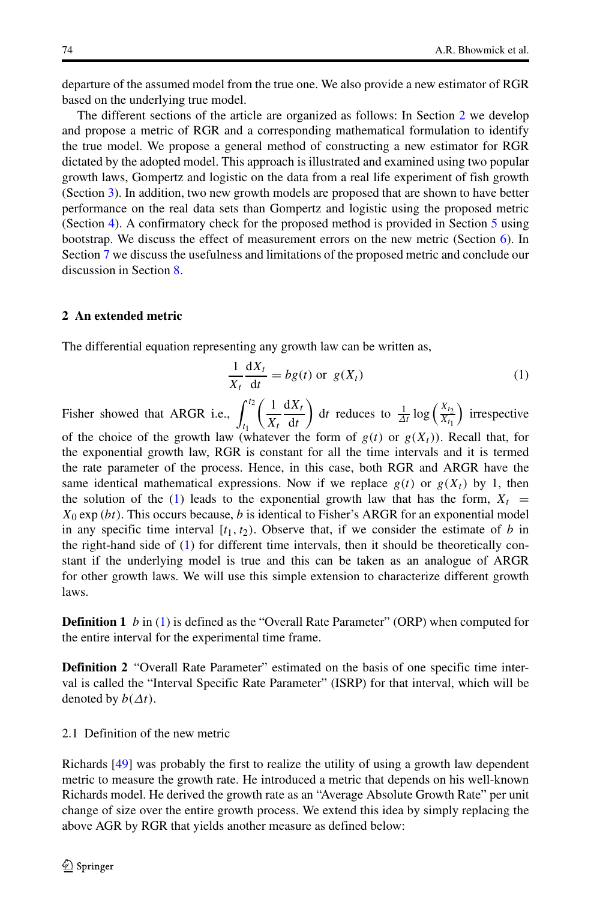departure of the assumed model from the true one. We also provide a new estimator of RGR based on the underlying true model.

The different sections of the article are organized as follows: In Section [2](#page-3-0) we develop and propose a metric of RGR and a corresponding mathematical formulation to identify the true model. We propose a general method of constructing a new estimator for RGR dictated by the adopted model. This approach is illustrated and examined using two popular growth laws, Gompertz and logistic on the data from a real life experiment of fish growth (Section [3\)](#page-7-0). In addition, two new growth models are proposed that are shown to have better performance on the real data sets than Gompertz and logistic using the proposed metric (Section [4\)](#page-10-0). A confirmatory check for the proposed method is provided in Section [5](#page-12-0) using bootstrap. We discuss the effect of measurement errors on the new metric (Section  $6$ ). In Section [7](#page-19-0) we discuss the usefulness and limitations of the proposed metric and conclude our discussion in Section [8.](#page-20-0)

# <span id="page-3-0"></span>**2 An extended metric**

The differential equation representing any growth law can be written as,

<span id="page-3-1"></span>
$$
\frac{1}{X_t} \frac{dX_t}{dt} = bg(t) \text{ or } g(X_t)
$$
 (1)

Fisher showed that ARGR i.e.,  $\int^{t_2}$ *t*1  $\left(1\right)$ *Xt* d*Xt* d*t* d*t* reduces to  $\frac{1}{\Delta t} \log \left( \frac{X_{t_2}}{X_{t_1}} \right)$ ) irrespective of the choice of the growth law (whatever the form of  $g(t)$  or  $g(X<sub>t</sub>)$ ). Recall that, for the exponential growth law, RGR is constant for all the time intervals and it is termed the rate parameter of the process. Hence, in this case, both RGR and ARGR have the same identical mathematical expressions. Now if we replace  $g(t)$  or  $g(X_t)$  by 1, then the solution of the [\(1\)](#page-3-1) leads to the exponential growth law that has the form,  $X_t =$ *X*<sup>0</sup> exp *(bt)*. This occurs because, *b* is identical to Fisher's ARGR for an exponential model in any specific time interval  $[t_1, t_2)$ . Observe that, if we consider the estimate of *b* in the right-hand side of [\(1\)](#page-3-1) for different time intervals, then it should be theoretically constant if the underlying model is true and this can be taken as an analogue of ARGR for other growth laws. We will use this simple extension to characterize different growth laws.

**Definition 1** *b* in [\(1\)](#page-3-1) is defined as the "Overall Rate Parameter" (ORP) when computed for the entire interval for the experimental time frame.

**Definition 2** "Overall Rate Parameter" estimated on the basis of one specific time interval is called the "Interval Specific Rate Parameter" (ISRP) for that interval, which will be denoted by *b(Δt)*.

#### 2.1 Definition of the new metric

Richards [\[49\]](#page-24-17) was probably the first to realize the utility of using a growth law dependent metric to measure the growth rate. He introduced a metric that depends on his well-known Richards model. He derived the growth rate as an "Average Absolute Growth Rate" per unit change of size over the entire growth process. We extend this idea by simply replacing the above AGR by RGR that yields another measure as defined below: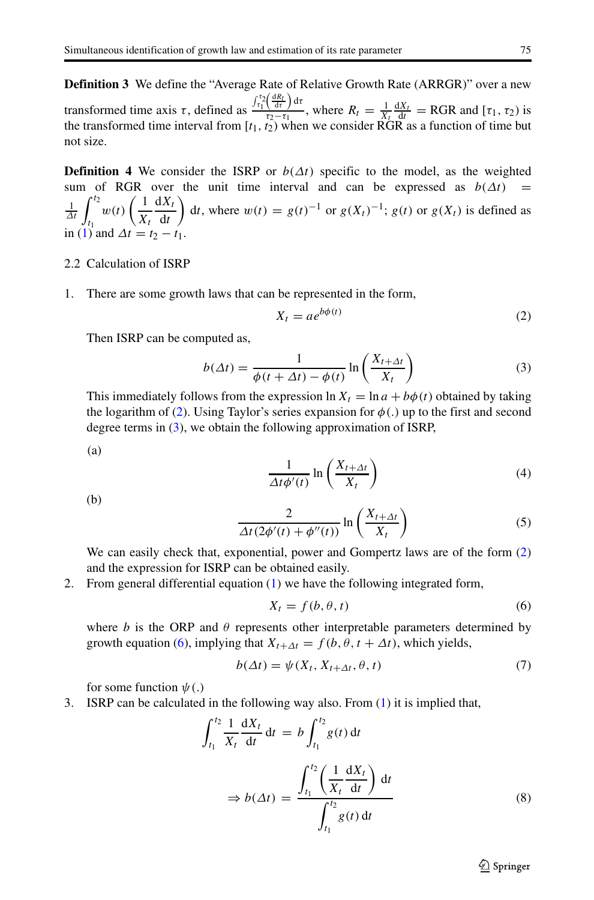**Definition 3** We define the "Average Rate of Relative Growth Rate (ARRGR)" over a new transformed time axis *τ* , defined as  $J_{\tau_1}^{\tau_2} \left( \frac{dR_t}{dt} \right) dt$ , where  $R_t = \frac{1}{X_t} \frac{dX_t}{dt} = RGR$  and  $[\tau_1, \tau_2]$  is the transformed time interval from  $[t_1, t_2)$  when we consider RGR as a function of time but not size.

**Definition 4** We consider the ISRP or  $b(\Delta t)$  specific to the model, as the weighted sum of RGR over the unit time interval and can be expressed as  $b(\Delta t)$  =  $\frac{1}{\Delta t}$   $\int_{t_1}^{t_2}$  $w(t)\left(\frac{1}{X_t}\right)$ d*Xt* d*t* d*t*, where  $w(t) = g(t)^{-1}$  or  $g(X_t)^{-1}$ ;  $g(t)$  or  $g(X_t)$  is defined as in [\(1\)](#page-3-1) and  $\Delta t = t_2 - t_1$ .

- 2.2 Calculation of ISRP
- 1. There are some growth laws that can be represented in the form,

<span id="page-4-0"></span>
$$
X_t = a e^{b\phi(t)} \tag{2}
$$

Then ISRP can be computed as,

<span id="page-4-1"></span>
$$
b(\Delta t) = \frac{1}{\phi(t + \Delta t) - \phi(t)} \ln \left( \frac{X_{t + \Delta t}}{X_t} \right)
$$
 (3)

This immediately follows from the expression  $\ln X_t = \ln a + b\phi(t)$  obtained by taking the logarithm of [\(2\)](#page-4-0). Using Taylor's series expansion for *φ(.)* up to the first and second degree terms in [\(3\)](#page-4-1), we obtain the following approximation of ISRP,

(a)

$$
\frac{1}{\Delta t \phi'(t)} \ln \left( \frac{X_{t + \Delta t}}{X_t} \right) \tag{4}
$$

(b)

$$
\frac{2}{\Delta t (2\phi'(t) + \phi''(t))} \ln \left( \frac{X_{t + \Delta t}}{X_t} \right) \tag{5}
$$

We can easily check that, exponential, power and Gompertz laws are of the form  $(2)$ and the expression for ISRP can be obtained easily.

2. From general differential equation [\(1\)](#page-3-1) we have the following integrated form,

<span id="page-4-2"></span>
$$
X_t = f(b, \theta, t) \tag{6}
$$

where *b* is the ORP and  $\theta$  represents other interpretable parameters determined by growth equation [\(6\)](#page-4-2), implying that  $X_{t+\Delta t} = f(b, \theta, t + \Delta t)$ , which yields,

$$
b(\Delta t) = \psi(X_t, X_{t + \Delta t}, \theta, t) \tag{7}
$$

for some function *ψ(.)*

3. ISRP can be calculated in the following way also. From [\(1\)](#page-3-1) it is implied that,

$$
\int_{t_1}^{t_2} \frac{1}{X_t} \frac{dX_t}{dt} dt = b \int_{t_1}^{t_2} g(t) dt
$$

$$
\Rightarrow b(\Delta t) = \frac{\int_{t_1}^{t_2} \left(\frac{1}{X_t} \frac{dX_t}{dt}\right) dt}{\int_{t_1}^{t_2} g(t) dt}
$$
(8)

 $\textcircled{2}$  Springer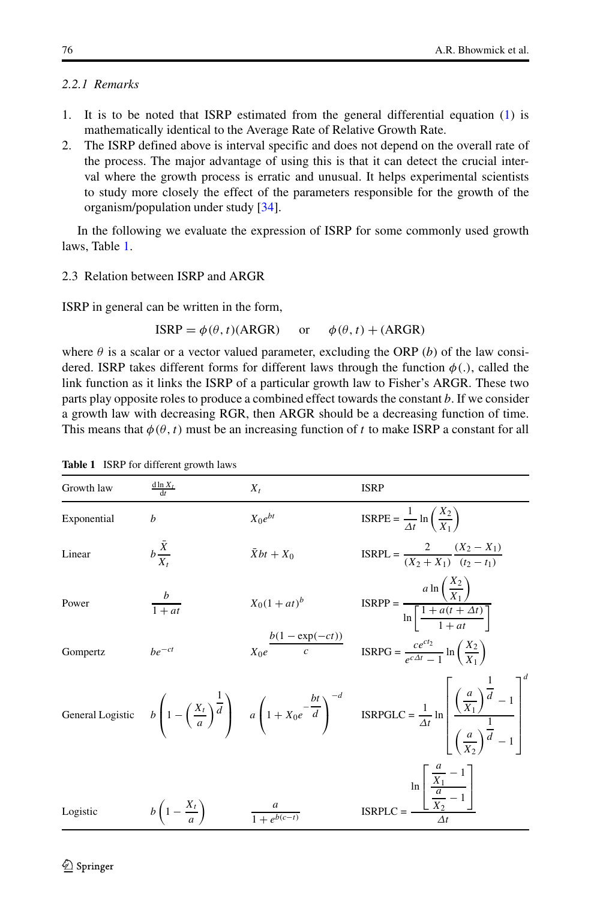# *2.2.1 Remarks*

- 1. It is to be noted that ISRP estimated from the general differential equation [\(1\)](#page-3-1) is mathematically identical to the Average Rate of Relative Growth Rate.
- 2. The ISRP defined above is interval specific and does not depend on the overall rate of the process. The major advantage of using this is that it can detect the crucial interval where the growth process is erratic and unusual. It helps experimental scientists to study more closely the effect of the parameters responsible for the growth of the organism/population under study [\[34\]](#page-24-4).

In the following we evaluate the expression of ISRP for some commonly used growth laws, Table [1.](#page-5-0)

#### 2.3 Relation between ISRP and ARGR

ISRP in general can be written in the form,

$$
ISRP = \phi(\theta, t)(ARGR) \quad \text{or} \quad \phi(\theta, t) + (ARGR)
$$

where  $\theta$  is a scalar or a vector valued parameter, excluding the ORP (*b*) of the law considered. ISRP takes different forms for different laws through the function  $\phi(.)$ , called the link function as it links the ISRP of a particular growth law to Fisher's ARGR. These two parts play opposite roles to produce a combined effect towards the constant *b*. If we consider a growth law with decreasing RGR, then ARGR should be a decreasing function of time. This means that  $\phi(\theta, t)$  must be an increasing function of *t* to make ISRP a constant for all

|                  | 1910 101 anterent growth laws   |                            |                                                                                                                                                                                                                                    |
|------------------|---------------------------------|----------------------------|------------------------------------------------------------------------------------------------------------------------------------------------------------------------------------------------------------------------------------|
| Growth law       | $\frac{d \ln X_t}{dt}$          | $X_t$                      | <b>ISRP</b>                                                                                                                                                                                                                        |
| Exponential      | h                               | $X_0e^{bt}$                | $ISRPE = \frac{1}{\Delta t} \ln \left( \frac{X_2}{X_1} \right)$                                                                                                                                                                    |
| Linear           | $b\frac{X}{X_t}$                | $\bar{X}bt+X_0$            | $ISRPL = \frac{2}{(X_2 + X_1)} \frac{(X_2 - X_1)}{(t_2 - t_1)}$                                                                                                                                                                    |
| Power            | $rac{b}{1+at}$                  | $X_0(1 + at)^b$            | $ISRPP = \frac{a \ln \left( \frac{X_2}{X_1} \right)}{\ln \left[ \frac{1 + a(t + \Delta t)}{1 + \frac{a(t + \Delta t)}{1 + \Delta t}} \right]}$                                                                                     |
| Gompertz         | $be^{-ct}$                      | $\frac{b(1-\exp(-ct))}{c}$ | $ISRPG = \frac{ce^{ct_2}}{e^{c\Delta t} - 1} \ln\left(\frac{X_2}{X_1}\right)$                                                                                                                                                      |
| General Logistic |                                 |                            | $b\left(1-\left(\frac{X_t}{a}\right)^{\frac{1}{d}}\right)$ $a\left(1+X_0e^{-\frac{bt}{d}}\right)^{-d}$ ISRPGLC = $\frac{1}{\Delta t}$ ln $\left(\frac{a}{X_1}\right)^{\frac{1}{d}}-1$ $\left(\frac{a}{X_2}\right)^{\frac{1}{d}}-1$ |
| Logistic         | $b\left(1-\frac{X_t}{a}\right)$ | $\frac{a}{1+e^{b(c-t)}}$   | $\text{ISRPLC} = \frac{\ln \left[\frac{\frac{a}{X_1} - 1}{\frac{a}{X_2} - 1}\right]}{A}$                                                                                                                                           |

<span id="page-5-0"></span>**Table 1** ISRP for different growth laws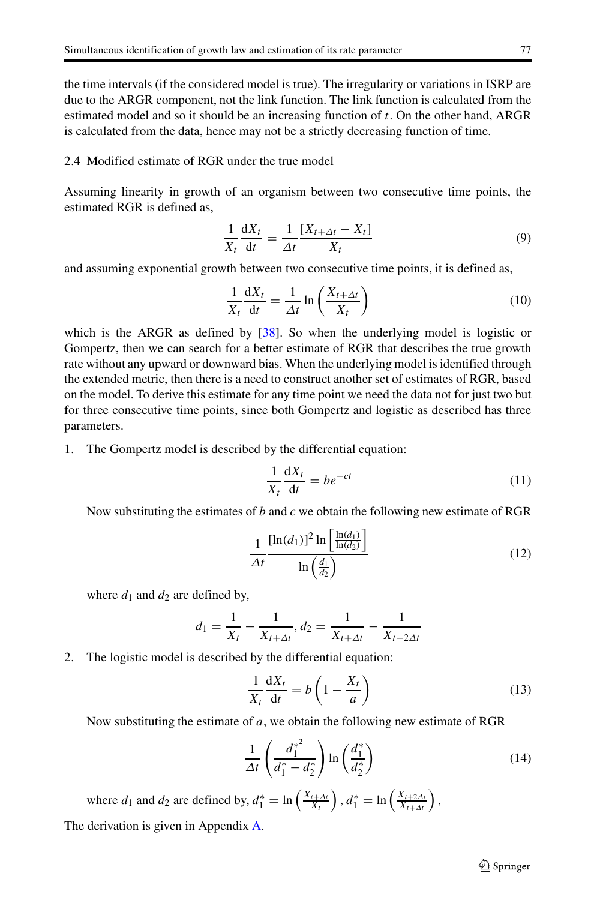the time intervals (if the considered model is true). The irregularity or variations in ISRP are due to the ARGR component, not the link function. The link function is calculated from the estimated model and so it should be an increasing function of *t*. On the other hand, ARGR is calculated from the data, hence may not be a strictly decreasing function of time.

#### <span id="page-6-0"></span>2.4 Modified estimate of RGR under the true model

Assuming linearity in growth of an organism between two consecutive time points, the estimated RGR is defined as,

$$
\frac{1}{X_t} \frac{dX_t}{dt} = \frac{1}{\Delta t} \frac{[X_{t+\Delta t} - X_t]}{X_t}
$$
(9)

and assuming exponential growth between two consecutive time points, it is defined as,

$$
\frac{1}{X_t} \frac{dX_t}{dt} = \frac{1}{\Delta t} \ln \left( \frac{X_{t + \Delta t}}{X_t} \right)
$$
(10)

which is the ARGR as defined by [\[38\]](#page-24-8). So when the underlying model is logistic or Gompertz, then we can search for a better estimate of RGR that describes the true growth rate without any upward or downward bias. When the underlying model is identified through the extended metric, then there is a need to construct another set of estimates of RGR, based on the model. To derive this estimate for any time point we need the data not for just two but for three consecutive time points, since both Gompertz and logistic as described has three parameters.

1. The Gompertz model is described by the differential equation:

$$
\frac{1}{X_t} \frac{dX_t}{dt} = be^{-ct}
$$
 (11)

Now substituting the estimates of *b* and *c* we obtain the following new estimate of RGR

$$
\frac{1}{\Delta t} \frac{\left[\ln(d_1)\right]^2 \ln\left[\frac{\ln(d_1)}{\ln(d_2)}\right]}{\ln\left(\frac{d_1}{d_2}\right)}\tag{12}
$$

where  $d_1$  and  $d_2$  are defined by,

$$
d_1 = \frac{1}{X_t} - \frac{1}{X_{t + \Delta t}}, d_2 = \frac{1}{X_{t + \Delta t}} - \frac{1}{X_{t + 2\Delta t}}
$$

# 2. The logistic model is described by the differential equation:

$$
\frac{1}{X_t} \frac{dX_t}{dt} = b \left( 1 - \frac{X_t}{a} \right)
$$
\n(13)

Now substituting the estimate of *a*, we obtain the following new estimate of RGR

$$
\frac{1}{\Delta t} \left( \frac{d_1^{*^2}}{d_1^* - d_2^*} \right) \ln \left( \frac{d_1^*}{d_2^*} \right) \tag{14}
$$

where  $d_1$  and  $d_2$  are defined by,  $d_1^* = \ln\left(\frac{X_{t+\Delta t}}{X_t}\right)$ ,  $d_1^* = \ln\left(\frac{X_{t+2\Delta t}}{X_{t+\Delta t}}\right)$ ,

The derivation is given in Appendix [A.](#page-21-0)

 $\textcircled{2}$  Springer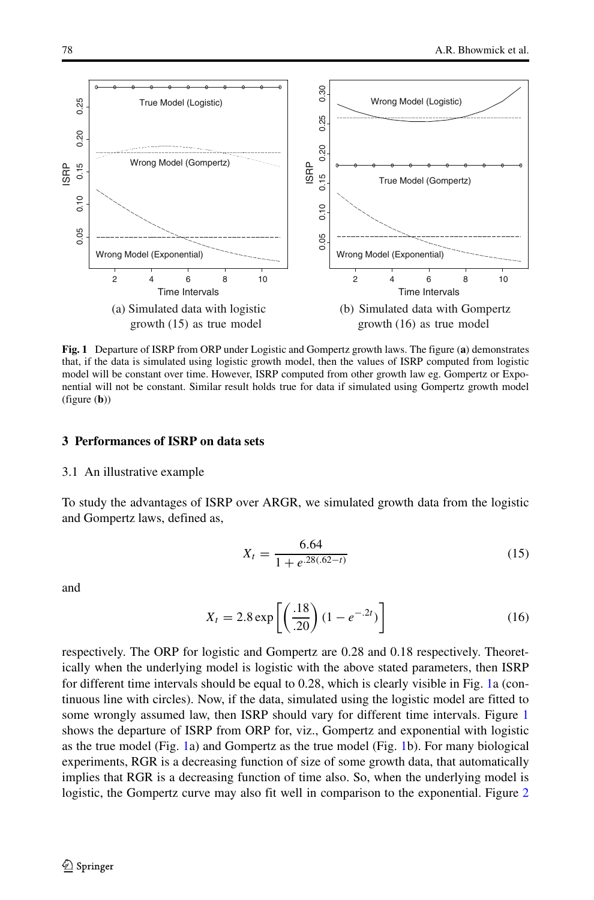<span id="page-7-1"></span>

**Fig. 1** Departure of ISRP from ORP under Logistic and Gompertz growth laws. The figure (**a**) demonstrates that, if the data is simulated using logistic growth model, then the values of ISRP computed from logistic model will be constant over time. However, ISRP computed from other growth law eg. Gompertz or Exponential will not be constant. Similar result holds true for data if simulated using Gompertz growth model (figure (**b**))

#### <span id="page-7-0"></span>**3 Performances of ISRP on data sets**

#### 3.1 An illustrative example

To study the advantages of ISRP over ARGR, we simulated growth data from the logistic and Gompertz laws, defined as,

<span id="page-7-2"></span>
$$
X_t = \frac{6.64}{1 + e^{.28(.62 - t)}}\tag{15}
$$

and

$$
X_t = 2.8 \exp\left[\left(\frac{.18}{.20}\right)(1 - e^{-.2t})\right]
$$
 (16)

respectively. The ORP for logistic and Gompertz are 0.28 and 0.18 respectively. Theoretically when the underlying model is logistic with the above stated parameters, then ISRP for different time intervals should be equal to 0.28, which is clearly visible in Fig. [1a](#page-7-1) (continuous line with circles). Now, if the data, simulated using the logistic model are fitted to some wrongly assumed law, then ISRP should vary for different time intervals. Figure [1](#page-7-1) shows the departure of ISRP from ORP for, viz., Gompertz and exponential with logistic as the true model (Fig. [1a](#page-7-1)) and Gompertz as the true model (Fig. [1b](#page-7-1)). For many biological experiments, RGR is a decreasing function of size of some growth data, that automatically implies that RGR is a decreasing function of time also. So, when the underlying model is logistic, the Gompertz curve may also fit well in comparison to the exponential. Figure [2](#page-8-0)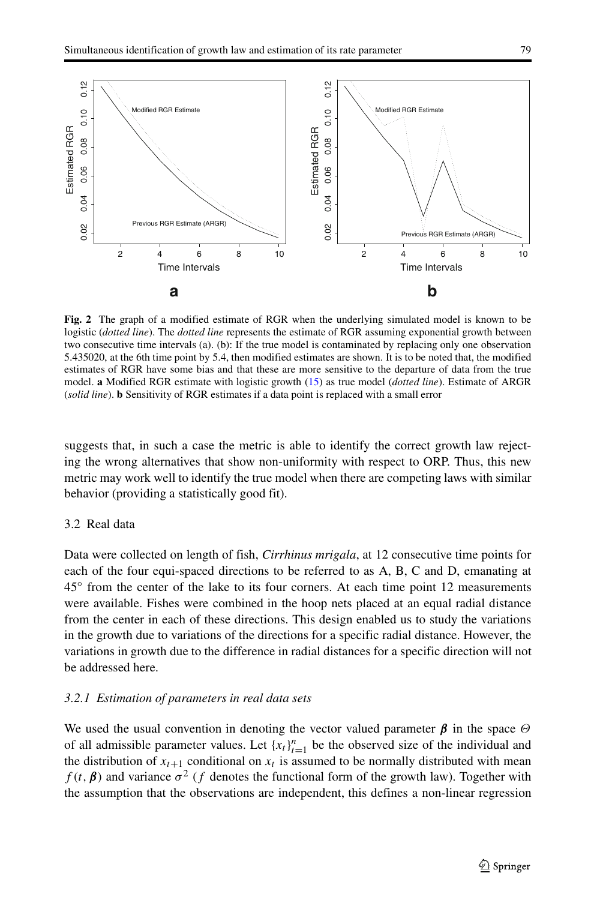<span id="page-8-0"></span>

**Fig. 2** The graph of a modified estimate of RGR when the underlying simulated model is known to be logistic (*dotted line*). The *dotted line* represents the estimate of RGR assuming exponential growth between two consecutive time intervals (a). (b): If the true model is contaminated by replacing only one observation 5.435020, at the 6th time point by 5.4, then modified estimates are shown. It is to be noted that, the modified estimates of RGR have some bias and that these are more sensitive to the departure of data from the true model. **a** Modified RGR estimate with logistic growth [\(15\)](#page-7-2) as true model (*dotted line*). Estimate of ARGR (*solid line*). **b** Sensitivity of RGR estimates if a data point is replaced with a small error

suggests that, in such a case the metric is able to identify the correct growth law rejecting the wrong alternatives that show non-uniformity with respect to ORP. Thus, this new metric may work well to identify the true model when there are competing laws with similar behavior (providing a statistically good fit).

# 3.2 Real data

Data were collected on length of fish, *Cirrhinus mrigala*, at 12 consecutive time points for each of the four equi-spaced directions to be referred to as A, B, C and D, emanating at 45◦ from the center of the lake to its four corners. At each time point 12 measurements were available. Fishes were combined in the hoop nets placed at an equal radial distance from the center in each of these directions. This design enabled us to study the variations in the growth due to variations of the directions for a specific radial distance. However, the variations in growth due to the difference in radial distances for a specific direction will not be addressed here.

# *3.2.1 Estimation of parameters in real data sets*

We used the usual convention in denoting the vector valued parameter  $\beta$  in the space  $\Theta$ of all admissible parameter values. Let  $\{x_t\}_{t=1}^n$  be the observed size of the individual and the distribution of  $x_{t+1}$  conditional on  $x_t$  is assumed to be normally distributed with mean  $f(t, \beta)$  and variance  $\sigma^2$  (*f* denotes the functional form of the growth law). Together with the assumption that the observations are independent, this defines a non-linear regression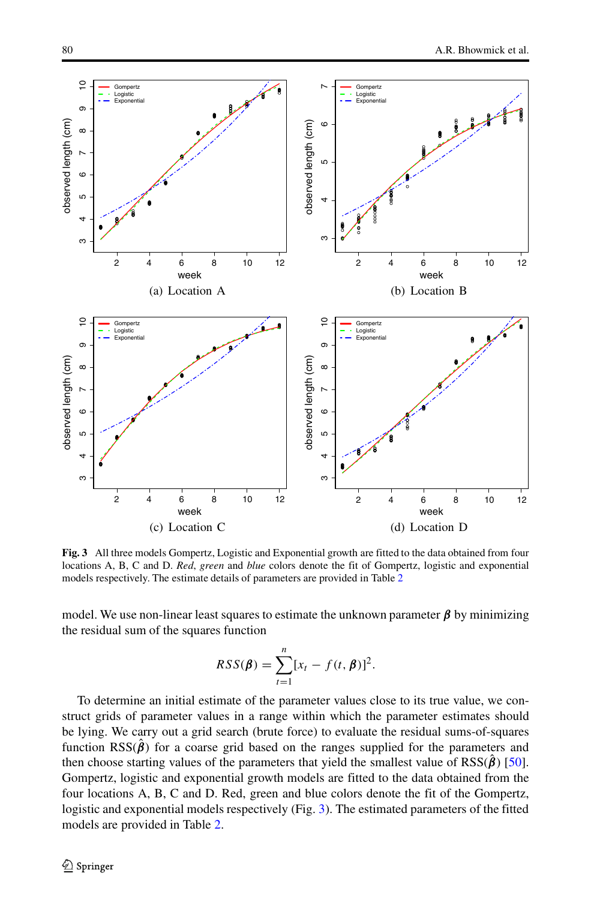<span id="page-9-0"></span>

**Fig. 3** All three models Gompertz, Logistic and Exponential growth are fitted to the data obtained from four locations A, B, C and D. *Red*, *green* and *blue* colors denote the fit of Gompertz, logistic and exponential models respectively. The estimate details of parameters are provided in Table [2](#page-10-1)

model. We use non-linear least squares to estimate the unknown parameter  $\beta$  by minimizing the residual sum of the squares function

$$
RSS(\boldsymbol{\beta}) = \sum_{t=1}^{n} [x_t - f(t, \boldsymbol{\beta})]^2.
$$

To determine an initial estimate of the parameter values close to its true value, we construct grids of parameter values in a range within which the parameter estimates should be lying. We carry out a grid search (brute force) to evaluate the residual sums-of-squares function  $RSS(\hat{\beta})$  for a coarse grid based on the ranges supplied for the parameters and then choose starting values of the parameters that yield the smallest value of  $RSS(\beta)$  [\[50\]](#page-24-18). Gompertz, logistic and exponential growth models are fitted to the data obtained from the four locations A, B, C and D. Red, green and blue colors denote the fit of the Gompertz, logistic and exponential models respectively (Fig. [3\)](#page-9-0). The estimated parameters of the fitted models are provided in Table [2.](#page-10-1)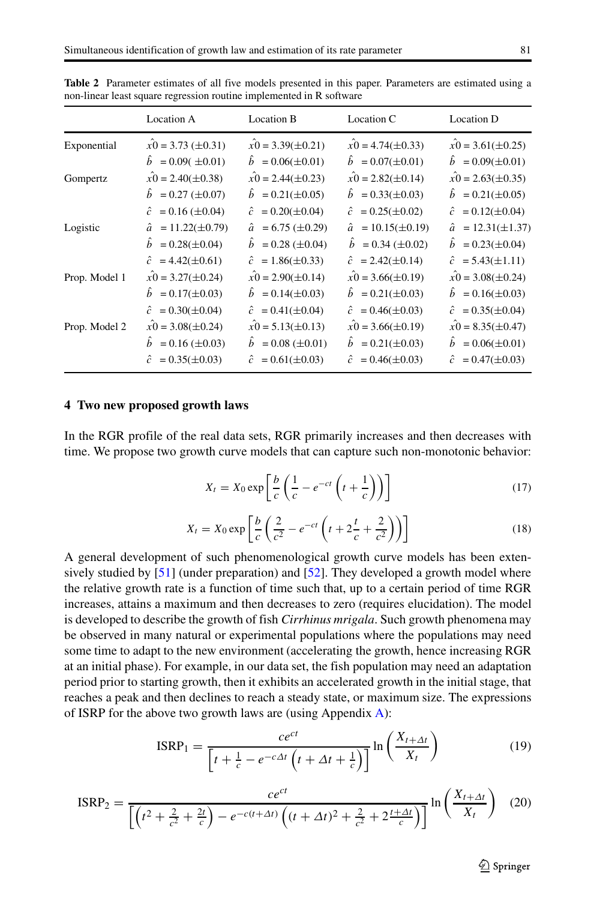|               | Location A                       | Location B                        | Location C                    | Location D                           |
|---------------|----------------------------------|-----------------------------------|-------------------------------|--------------------------------------|
| Exponential   | $x0 = 3.73 \ (\pm 0.31)$         | $x0 = 3.39(\pm 0.21)$             | $x0 = 4.74(\pm 0.33)$         | $x0 = 3.61(\pm 0.25)$                |
|               | $= 0.09(^{+0.01})$               | $\hat{b} = 0.06(\pm 0.01)$        | $\hat{b} = 0.07(\pm 0.01)$    | $\hat{b} = 0.09(\pm 0.01)$           |
| Gompertz      | $x0 = 2.40(\pm 0.38)$            | $x0 = 2.44(\pm 0.23)$             | $x0 = 2.82(\pm 0.14)$         | $x0 = 2.63(\pm 0.35)$                |
|               | $\hat{b} = 0.27 \ (\pm 0.07)$    | $\hat{b} = 0.21(\pm 0.05)$        | $\hat{b} = 0.33(\pm 0.03)$    | $\hat{b} = 0.21(\pm 0.05)$           |
|               | $\hat{c} = 0.16 \ (\pm 0.04)$    | $\hat{c} = 0.20(\pm 0.04)$        | $\hat{c} = 0.25(\pm 0.02)$    | $= 0.12(\pm 0.04)$<br>ĉ.             |
| Logistic      | $\hat{a} = 11.22(\pm 0.79)$      | $= 6.75 \ (\pm 0.29)$<br>â        | $\hat{a} = 10.15(\pm 0.19)$   | $\hat{a} = 12.31(\pm 1.37)$          |
|               | $= 0.28(\pm 0.04)$<br>$\ddot{b}$ | $= 0.28 (\pm 0.04)$<br>$\ddot{b}$ | $\hat{b} = 0.34 \ (\pm 0.02)$ | $\hat{b}$<br>$= 0.23(\pm 0.04)$      |
|               | $\hat{c} = 4.42(\pm 0.61)$       | $\hat{c} = 1.86(\pm 0.33)$        | $\hat{c} = 2.42(\pm 0.14)$    | $\hat{c} = 5.43(\pm 1.11)$           |
| Prop. Model 1 | $x0 = 3.27(\pm 0.24)$            | $x_0 = 2.90(\pm 0.14)$            | $x0 = 3.66(\pm 0.19)$         | $x_0 = 3.08(\pm 0.24)$               |
|               | $b = 0.17(\pm 0.03)$             | $b = 0.14(\pm 0.03)$              | $b = 0.21(\pm 0.03)$          | $b = 0.16(\pm 0.03)$                 |
|               | $\hat{c} = 0.30(\pm 0.04)$       | $\hat{c} = 0.41(\pm 0.04)$        | $\hat{c} = 0.46(\pm 0.03)$    | $\hat{c} = 0.35(\pm 0.04)$           |
| Prop. Model 2 | $x0 = 3.08(\pm 0.24)$            | $x0 = 5.13(\pm 0.13)$             | $x0 = 3.66(\pm 0.19)$         | $x0 = 8.35(\pm 0.47)$                |
|               | $\hat{b} = 0.16 \ (\pm 0.03)$    | $= 0.08 (\pm 0.01)$<br>b          | $\hat{b} = 0.21(\pm 0.03)$    | $= 0.06(\pm 0.01)$<br>$\mathfrak{b}$ |
|               | $\hat{c} = 0.35(\pm 0.03)$       | $\hat{c} = 0.61(\pm 0.03)$        | $\hat{c} = 0.46(\pm 0.03)$    | $\hat{c} = 0.47(\pm 0.03)$           |

<span id="page-10-1"></span>**Table 2** Parameter estimates of all five models presented in this paper. Parameters are estimated using a non-linear least square regression routine implemented in R software

#### <span id="page-10-0"></span>**4 Two new proposed growth laws**

In the RGR profile of the real data sets, RGR primarily increases and then decreases with time. We propose two growth curve models that can capture such non-monotonic behavior:

<span id="page-10-2"></span>
$$
X_t = X_0 \exp\left[\frac{b}{c}\left(\frac{1}{c} - e^{-ct}\left(t + \frac{1}{c}\right)\right)\right]
$$
 (17)

<span id="page-10-3"></span>
$$
X_t = X_0 \exp\left[\frac{b}{c}\left(\frac{2}{c^2} - e^{-ct}\left(t + 2\frac{t}{c} + \frac{2}{c^2}\right)\right)\right]
$$
(18)

A general development of such phenomenological growth curve models has been extensively studied by [\[51\]](#page-24-19) (under preparation) and [\[52\]](#page-24-20). They developed a growth model where the relative growth rate is a function of time such that, up to a certain period of time RGR increases, attains a maximum and then decreases to zero (requires elucidation). The model is developed to describe the growth of fish *Cirrhinus mrigala*. Such growth phenomena may be observed in many natural or experimental populations where the populations may need some time to adapt to the new environment (accelerating the growth, hence increasing RGR at an initial phase). For example, in our data set, the fish population may need an adaptation period prior to starting growth, then it exhibits an accelerated growth in the initial stage, that reaches a peak and then declines to reach a steady state, or maximum size. The expressions of ISRP for the above two growth laws are (using Appendix  $\bf{A}$ ):

$$
ISRP_1 = \frac{ce^{ct}}{\left[t + \frac{1}{c} - e^{-c\Delta t} \left(t + \Delta t + \frac{1}{c}\right)\right]} \ln\left(\frac{X_{t + \Delta t}}{X_t}\right)
$$
(19)

$$
ISRP_2 = \frac{ce^{ct}}{\left[\left(t^2 + \frac{2}{c^2} + \frac{2t}{c}\right) - e^{-c(t+\Delta t)}\left((t+\Delta t)^2 + \frac{2}{c^2} + 2\frac{t+\Delta t}{c}\right)\right]} \ln\left(\frac{X_{t+\Delta t}}{X_t}\right) (20)
$$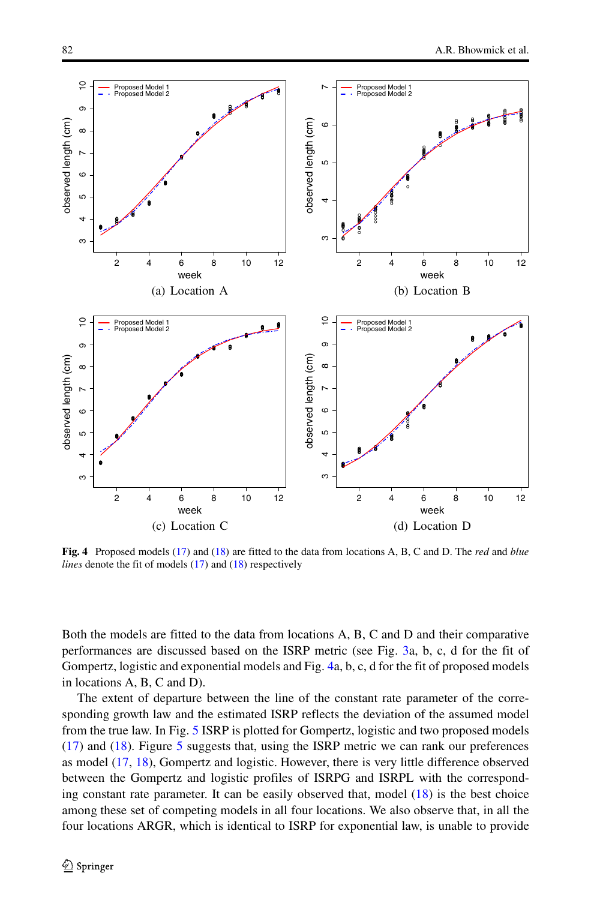<span id="page-11-0"></span>

**Fig. 4** Proposed models [\(17\)](#page-10-2) and [\(18\)](#page-10-3) are fitted to the data from locations A, B, C and D. The *red* and *blue lines* denote the fit of models [\(17\)](#page-10-2) and [\(18\)](#page-10-3) respectively

Both the models are fitted to the data from locations A, B, C and D and their comparative performances are discussed based on the ISRP metric (see Fig. [3a](#page-9-0), b, c, d for the fit of Gompertz, logistic and exponential models and Fig. [4a](#page-11-0), b, c, d for the fit of proposed models in locations A, B, C and D).

The extent of departure between the line of the constant rate parameter of the corresponding growth law and the estimated ISRP reflects the deviation of the assumed model from the true law. In Fig. [5](#page-12-1) ISRP is plotted for Gompertz, logistic and two proposed models [\(17\)](#page-10-2) and [\(18\)](#page-10-3). Figure [5](#page-12-1) suggests that, using the ISRP metric we can rank our preferences as model [\(17,](#page-10-2) [18\)](#page-10-3), Gompertz and logistic. However, there is very little difference observed between the Gompertz and logistic profiles of ISRPG and ISRPL with the corresponding constant rate parameter. It can be easily observed that, model [\(18\)](#page-10-3) is the best choice among these set of competing models in all four locations. We also observe that, in all the four locations ARGR, which is identical to ISRP for exponential law, is unable to provide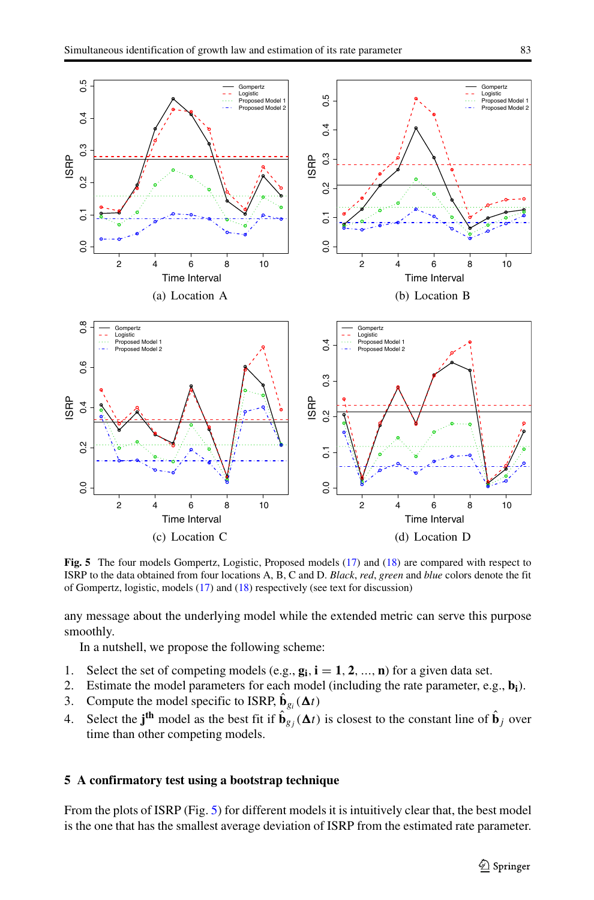<span id="page-12-1"></span>

**Fig. 5** The four models Gompertz, Logistic, Proposed models [\(17\)](#page-10-2) and [\(18\)](#page-10-3) are compared with respect to ISRP to the data obtained from four locations A, B, C and D. *Black*, *red*, *green* and *blue* colors denote the fit of Gompertz, logistic, models [\(17\)](#page-10-2) and [\(18\)](#page-10-3) respectively (see text for discussion)

any message about the underlying model while the extended metric can serve this purpose smoothly.

In a nutshell, we propose the following scheme:

- 1. Select the set of competing models (e.g.,  $\mathbf{g_i}$ ,  $\mathbf{i} = 1, 2, ..., \mathbf{n}$ ) for a given data set.<br>2. Estimate the model parameters for each model (including the rate parameter, e.
- 2. Estimate the model parameters for each model (including the rate parameter, e.g., **bi**).
- 3. Compute the model specific to ISRP,  $\hat{\mathbf{b}}_{g_i}(\Delta t)$
- 4. Select the **j<sup>th</sup>** model as the best fit if  $\hat{\mathbf{b}}_{gj}(\Delta t)$  is closest to the constant line of  $\hat{\mathbf{b}}_j$  over time than other competing models.

#### <span id="page-12-0"></span>**5 A confirmatory test using a bootstrap technique**

From the plots of ISRP (Fig. [5\)](#page-12-1) for different models it is intuitively clear that, the best model is the one that has the smallest average deviation of ISRP from the estimated rate parameter.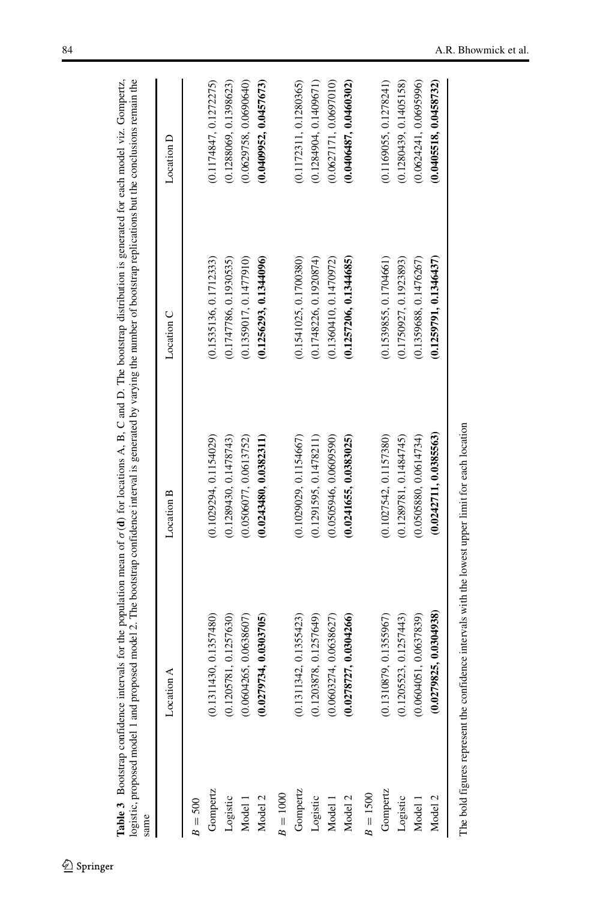|            | Location $A$           | Location B             | Location C             | Location D             |
|------------|------------------------|------------------------|------------------------|------------------------|
|            |                        |                        |                        |                        |
| $B = 500$  |                        |                        |                        |                        |
| Gompertz   | (0.1311430, 0.1357480) | (0.1029294, 0.1154029) | (0.1535136, 0.1712333) | (0.1174847, 0.1272275) |
| Logistic   | (0.1205781, 0.1257630) | (0.1289430, 0.1478743) | (0.1747786, 0.1930535) | (0.1288069, 0.1398623) |
| Model 1    | (0.0604265, 0.0638607) | (0.0506077, 0.0613752) | (0.1359017, 0.1477910) | (0.0629758, 0.0690640) |
| Model 2    | (0.0279734, 0.0303705) | (0.0243480, 0.0382311) | (0.1256293, 0.1344096) | (0.0409952, 0.0457673) |
| $B = 1000$ |                        |                        |                        |                        |
| Gompertz   | (0.1311342, 0.1355423) | (0.1029029, 0.1154667) | (0.1541025, 0.1700380) | (0.1172311, 0.1280365) |
| Logistic   | (0.1203878, 0.1257649) | (0.1291595, 0.1478211) | (0.1748226, 0.1920874) | (0.1284904, 0.1409671) |
| Model 1    | (0.0603274, 0.0638627) | (0.0505946, 0.0609590) | (0.1360410, 0.1470972) | (0.0627171, 0.0697010) |
| Model 2    | (0.0278727, 0.0304266) | (0.0241655, 0.0383025) | (0.1257206, 0.1344685) | (0.0406487, 0.0460302) |
| $B = 1500$ |                        |                        |                        |                        |
| Gompertz   | (0.1310879, 0.1355967) | (0.1027542, 0.1157380) | (0.1539855, 0.1704661) | (0.1169055, 0.1278241) |
| Logistic   | (0.1205523, 0.1257443) | (0.1289781, 0.1484745) | (0.1750927, 0.1923893) | (0.1280439, 0.1405158) |
| Model 1    | (0.0604051, 0.0637839) | (0.0505880, 0.0614734) | (0.1359688, 0.1476267) | (0.0624241, 0.0695996) |
| Model 2    | (0.0279825, 0.0304938) | (0.0242711, 0.0385563) | (0.1259791, 0.1346437) | (0.0405518, 0.0458732) |

<span id="page-13-0"></span>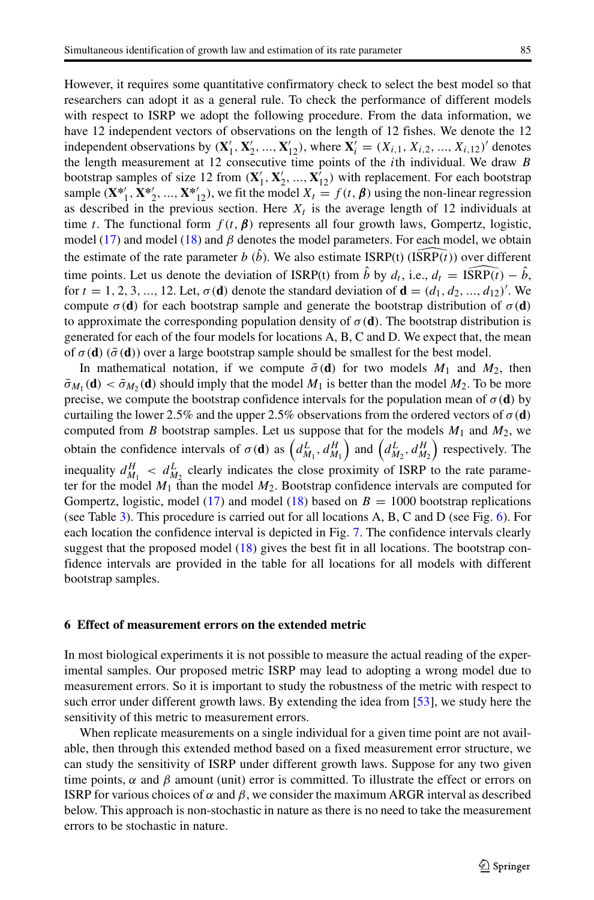However, it requires some quantitative confirmatory check to select the best model so that researchers can adopt it as a general rule. To check the performance of different models with respect to ISRP we adopt the following procedure. From the data information, we have 12 independent vectors of observations on the length of 12 fishes. We denote the 12 independent observations by  $(X'_1, X'_2, ..., X'_{12})$ , where  $X'_i = (X_{i,1}, X_{i,2}, ..., X_{i,12})'$  denotes the length measurement at 12 consecutive time points of the *i*th individual. We draw *B* bootstrap samples of size 12 from  $(\mathbf{X}'_1, \mathbf{X}'_2, ..., \mathbf{X}'_{12})$  with replacement. For each bootstrap sample  $(\mathbf{X}^*_{1}, \mathbf{X}^*_{2}, ..., \mathbf{X}^*_{12})$ , we fit the model  $X_t = f(t, \boldsymbol{\beta})$  using the non-linear regression as described in the previous section. Here  $X_t$  is the average length of 12 individuals at time *t*. The functional form  $f(t, \beta)$  represents all four growth laws, Gompertz, logistic, model [\(17\)](#page-10-2) and model [\(18\)](#page-10-3) and *β* denotes the model parameters. For each model, we obtain time *t*. The functional form  $f(t, \beta)$  represents all four growth laws, Go model (17) and model (18) and  $\beta$  denotes the model parameters. For each r the estimate of the rate parameter  $b(\hat{b})$ . We also estimate ISRP(t) the estimate of the rate parameter  $b(\hat{b})$ . We also estimate ISRP(t) (ISRP(t)) over different model (17) and model (18) and *β* denotes the model parameters. For each model, we obtain<br>the estimate of the rate parameter *b* (*b*̂). We also estimate ISRP(t) (ISRP(*t*)) over different<br>time points. Let us denote the for  $t = 1, 2, 3, ..., 12$ . Let,  $\sigma(\mathbf{d})$  denote the standard deviation of  $\mathbf{d} = (d_1, d_2, ..., d_{12})'$ . We compute  $\sigma$ (**d**) for each bootstrap sample and generate the bootstrap distribution of  $\sigma$ (**d**) to approximate the corresponding population density of  $\sigma(\mathbf{d})$ . The bootstrap distribution is generated for each of the four models for locations A, B, C and D. We expect that, the mean of  $\sigma$ (**d**) ( $\bar{\sigma}$ (**d**)) over a large bootstrap sample should be smallest for the best model.

In mathematical notation, if we compute  $\bar{\sigma}(\mathbf{d})$  for two models  $M_1$  and  $M_2$ , then  $\bar{\sigma}_{M_1}(\mathbf{d}) < \bar{\sigma}_{M_2}(\mathbf{d})$  should imply that the model  $M_1$  is better than the model  $M_2$ . To be more precise, we compute the bootstrap confidence intervals for the population mean of  $\sigma(\mathbf{d})$  by curtailing the lower 2.5% and the upper 2.5% observations from the ordered vectors of  $\sigma$ (**d**) computed from *B* bootstrap samples. Let us suppose that for the models  $M_1$  and  $M_2$ , we obtain the confidence intervals of  $\sigma(\mathbf{d})$  as  $\left(d_{M_1}^L, d_{M_1}^H\right)$  and  $\left(d_{M_2}^L, d_{M_2}^H\right)$  respectively. The inequality  $d_{M_1}^H < d_{M_2}^L$  clearly indicates the close proximity of ISRP to the rate parameter for the model  $M_1$  than the model  $M_2$ . Bootstrap confidence intervals are computed for Gompertz, logistic, model [\(17\)](#page-10-2) and model [\(18\)](#page-10-3) based on  $B = 1000$  bootstrap replications (see Table [3\)](#page-13-0). This procedure is carried out for all locations A, B, C and D (see Fig. [6\)](#page-15-0). For each location the confidence interval is depicted in Fig. [7.](#page-16-0) The confidence intervals clearly suggest that the proposed model [\(18\)](#page-10-3) gives the best fit in all locations. The bootstrap confidence intervals are provided in the table for all locations for all models with different bootstrap samples.

# <span id="page-14-0"></span>**6 Effect of measurement errors on the extended metric**

In most biological experiments it is not possible to measure the actual reading of the experimental samples. Our proposed metric ISRP may lead to adopting a wrong model due to measurement errors. So it is important to study the robustness of the metric with respect to such error under different growth laws. By extending the idea from [\[53\]](#page-24-21), we study here the sensitivity of this metric to measurement errors.

When replicate measurements on a single individual for a given time point are not available, then through this extended method based on a fixed measurement error structure, we can study the sensitivity of ISRP under different growth laws. Suppose for any two given time points, *α* and *β* amount (unit) error is committed. To illustrate the effect or errors on ISRP for various choices of  $\alpha$  and  $\beta$ , we consider the maximum ARGR interval as described below. This approach is non-stochastic in nature as there is no need to take the measurement errors to be stochastic in nature.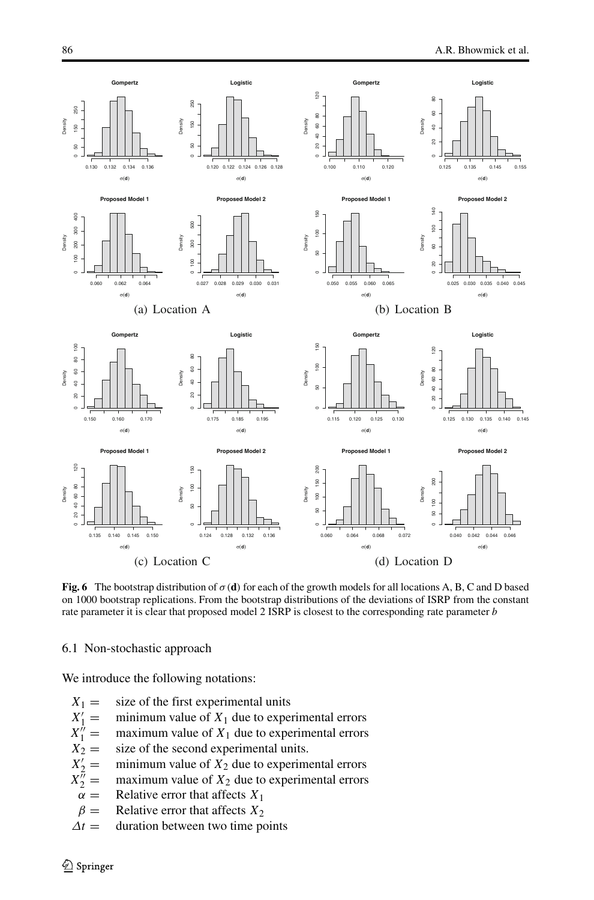<span id="page-15-0"></span>

**Fig. 6** The bootstrap distribution of  $\sigma$  (**d**) for each of the growth models for all locations A, B, C and D based on 1000 bootstrap replications. From the bootstrap distributions of the deviations of ISRP from the constant rate parameter it is clear that proposed model 2 ISRP is closest to the corresponding rate parameter *b*

6.1 Non-stochastic approach

We introduce the following notations:

- $X_1 =$  size of the first experimental units
- $X'_1 =$  $\equiv$  minimum value of  $X_1$  due to experimental errors<br>= maximum value of  $X_1$  due to experimental errors
- $X_1^{\prime\prime}$ <br> $X_2^{\prime\prime}$  $=$  maximum value of  $X_1$  due to experimental errors<br> $=$  size of the second experimental units.
- $\equiv$  size of the second experimental units.<br> $\equiv$  minimum value of  $X_2$  due to experim
- $X'_2$  $=$  minimum value of  $X_2$  due to experimental errors<br> $=$  maximum value of  $X_2$  due to experimental errors
- $X_2^{\tilde{n}} = \alpha$ maximum value of  $X_2$  due to experimental errors
- $\alpha =$  Relative error that affects  $X_1$ <br> $\beta =$  Relative error that affects  $X_2$
- *β* = Relative error that affects  $X_2$ <br> $\Delta t$  = duration between two time po
- *duration between two time points*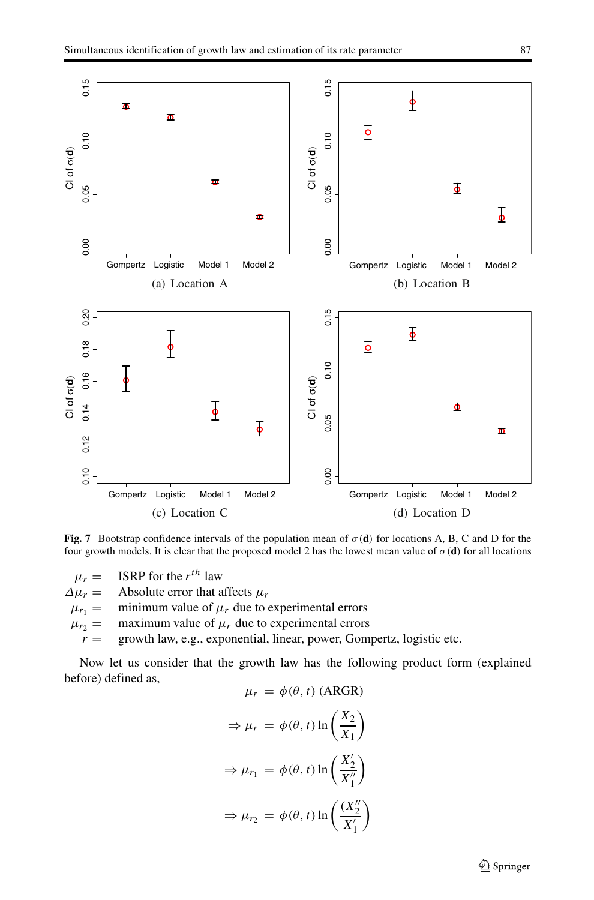<span id="page-16-0"></span>

**Fig. 7** Bootstrap confidence intervals of the population mean of *σ(***d***)* for locations A, B, C and D for the four growth models. It is clear that the proposed model 2 has the lowest mean value of  $\sigma$ (**d**) for all locations

 $\mu_r =$  ISRP for the *r*<sup>th</sup> law<br>  $\Delta \mu_r =$  Absolute error that a  $\Delta \mu_r$  = Absolute error that affects  $\mu_r$ <br> $\mu_{r_1}$  = minimum value of  $\mu_r$  due to  $\mu_{r_1}$  = minimum value of  $\mu_r$  due to experimental errors  $\mu_{r_2}$  = maximum value of  $\mu_r$  due to experimental errors  $r_1 = \frac{m_1}{r_2}$  = maximum value of  $\mu_r$  due to experimental errors  $r = \frac{m_1}{r_1}$  exponential, linear, power, Gom growth law, e.g., exponential, linear, power, Gompertz, logistic etc.

Now let us consider that the growth law has the following product form (explained before) defined as,

$$
\mu_r = \phi(\theta, t) \text{ (ARGR)}
$$
  
\n
$$
\Rightarrow \mu_r = \phi(\theta, t) \ln\left(\frac{X_2}{X_1}\right)
$$
  
\n
$$
\Rightarrow \mu_{r_1} = \phi(\theta, t) \ln\left(\frac{X_2'}{X_1''}\right)
$$
  
\n
$$
\Rightarrow \mu_{r_2} = \phi(\theta, t) \ln\left(\frac{(X_2'')}{X_1'}\right)
$$

Springer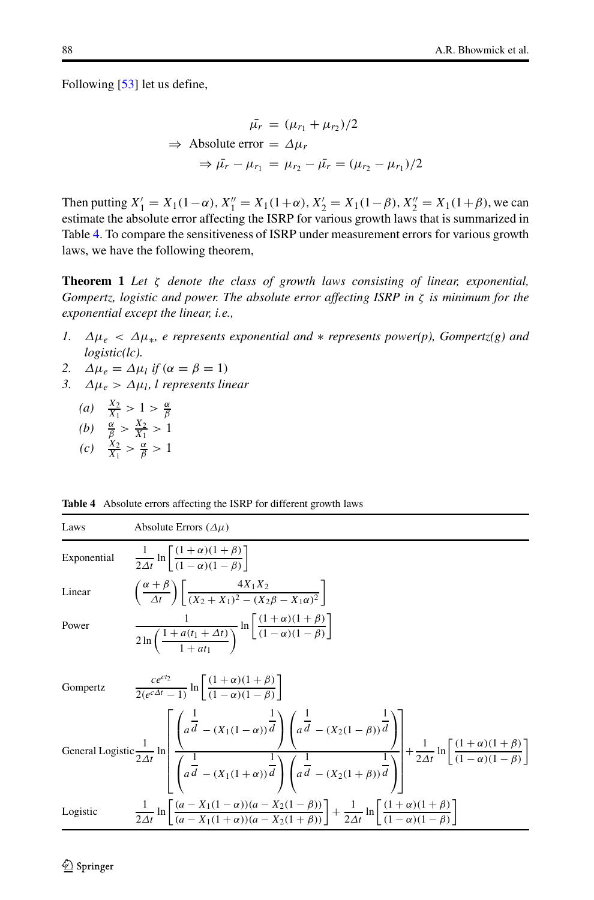Following [\[53\]](#page-24-21) let us define,

$$
\bar{\mu}_r = (\mu_{r_1} + \mu_{r_2})/2
$$
\n
$$
\Rightarrow \text{Absolute error} = \Delta \mu_r
$$
\n
$$
\Rightarrow \bar{\mu}_r - \mu_{r_1} = \mu_{r_2} - \bar{\mu}_r = (\mu_{r_2} - \mu_{r_1})/2
$$

Then putting  $X'_1 = X_1(1-\alpha)$ ,  $X''_1 = X_1(1+\alpha)$ ,  $X'_2 = X_1(1-\beta)$ ,  $X''_2 = X_1(1+\beta)$ , we can estimate the absolute error affecting the ISRP for various growth laws that is summarized in Table [4.](#page-17-0) To compare the sensitiveness of ISRP under measurement errors for various growth laws, we have the following theorem,

**Theorem 1** *Let ζ denote the class of growth laws consisting of linear, exponential, Gompertz, logistic and power. The absolute error affecting ISRP in ζ is minimum for the exponential except the linear, i.e.,*

- *1. Δμe < Δμ*∗*, e represents exponential and* ∗ *represents power(p), Gompertz(g) and logistic(lc).*
- *2.*  $Δ\mu_e = Δ\mu_l$  *if*  $(α = β = 1)$
- *3. Δμe > Δμl, l represents linear*
	- *(a)*  $\frac{X_2}{X_1} > 1 > \frac{\alpha}{\beta}$ <br>*(b)*  $\frac{\alpha}{\beta} > \frac{X_2}{X_1} > 1$
	-
	- $(c)$   $\frac{X_2}{X_1} > \frac{\alpha}{\beta} > 1$

| Laws        | Absolute Errors $(\Delta \mu)$                                                                                                                                                                                                                                                                                                                                                                  |
|-------------|-------------------------------------------------------------------------------------------------------------------------------------------------------------------------------------------------------------------------------------------------------------------------------------------------------------------------------------------------------------------------------------------------|
| Exponential | $\frac{1}{24t}$ ln $\left  \frac{(1+\alpha)(1+\beta)}{(1-\alpha)(1-\beta)} \right $                                                                                                                                                                                                                                                                                                             |
| Linear      | $\left(\frac{\alpha+\beta}{4t}\right)\left(\frac{4A_1A_2}{(X_2+X_1)^2-(X_2A-X_1\alpha)^2}\right)$                                                                                                                                                                                                                                                                                               |
| Power       | $\frac{1}{2\ln\left(\frac{1+a(t_1+\Delta t)}{1+a(t_1+\Delta t)}\right)}\ln\left[\frac{(1+\alpha)(1+\beta)}{(1-\alpha)(1-\beta)}\right]$                                                                                                                                                                                                                                                         |
| Gompertz    | $\frac{ce^{ct_2}}{2(e^{c\Delta t}-1)}\ln\left[\frac{(1+\alpha)(1+\beta)}{(1-\alpha)(1-\beta)}\right]$                                                                                                                                                                                                                                                                                           |
|             | General Logistic $\frac{1}{2\Delta t}$ ln $\left[\frac{\left(a^{\frac{1}{d}} - (X_1(1-\alpha))^{\frac{1}{d}}\right)\left(a^{\frac{1}{d}} - (X_2(1-\beta))^{\frac{1}{d}}\right)}{\left(a^{\frac{1}{d}} - (X_1(1+\alpha))^{\frac{1}{d}}\right)\left(a^{\frac{1}{d}} - (X_2(1+\beta))^{\frac{1}{d}}\right)} + \frac{1}{2\Delta t} \ln\left[\frac{(1+\alpha)(1+\beta)}{(1-\alpha)(1-\beta)}\right]$ |
| Logistic    | $\frac{1}{2\Delta t} \ln \left  \frac{(a - X_1(1 - \alpha))(a - X_2(1 - \beta))}{(a - X_1(1 + \alpha))(a - X_2(1 + \beta))} \right  + \frac{1}{2\Delta t} \ln \left  \frac{(1 + \alpha)(1 + \beta)}{(1 - \alpha)(1 - \beta)} \right $                                                                                                                                                           |
|             |                                                                                                                                                                                                                                                                                                                                                                                                 |

<span id="page-17-0"></span>**Table 4** Absolute errors affecting the ISRP for different growth laws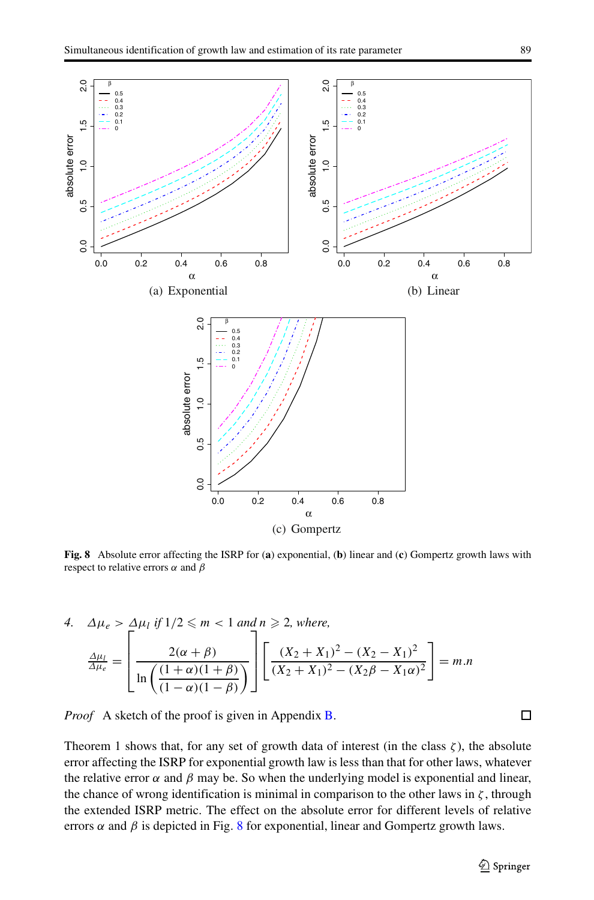<span id="page-18-0"></span>

**Fig. 8** Absolute error affecting the ISRP for (**a**) exponential, (**b**) linear and (**c**) Gompertz growth laws with respect to relative errors *α* and *β*

4. 
$$
\Delta \mu_e > \Delta \mu_l
$$
 if  $1/2 \le m < 1$  and  $n \ge 2$ , where,  
\n
$$
\frac{\Delta \mu_l}{\Delta \mu_e} = \left[ \frac{2(\alpha + \beta)}{\ln \left( \frac{(1 + \alpha)(1 + \beta)}{(1 - \alpha)(1 - \beta)} \right)} \right] \left[ \frac{(X_2 + X_1)^2 - (X_2 - X_1)^2}{(X_2 + X_1)^2 - (X_2\beta - X_1\alpha)^2} \right] = m.n
$$

*Proof* A sketch of the proof is given in Appendix [B.](#page-21-1)

Theorem 1 shows that, for any set of growth data of interest (in the class  $\zeta$ ), the absolute error affecting the ISRP for exponential growth law is less than that for other laws, whatever the relative error  $\alpha$  and  $\beta$  may be. So when the underlying model is exponential and linear, the chance of wrong identification is minimal in comparison to the other laws in  $\zeta$ , through the extended ISRP metric. The effect on the absolute error for different levels of relative errors  $\alpha$  and  $\beta$  is depicted in Fig. [8](#page-18-0) for exponential, linear and Gompertz growth laws.

 $\Box$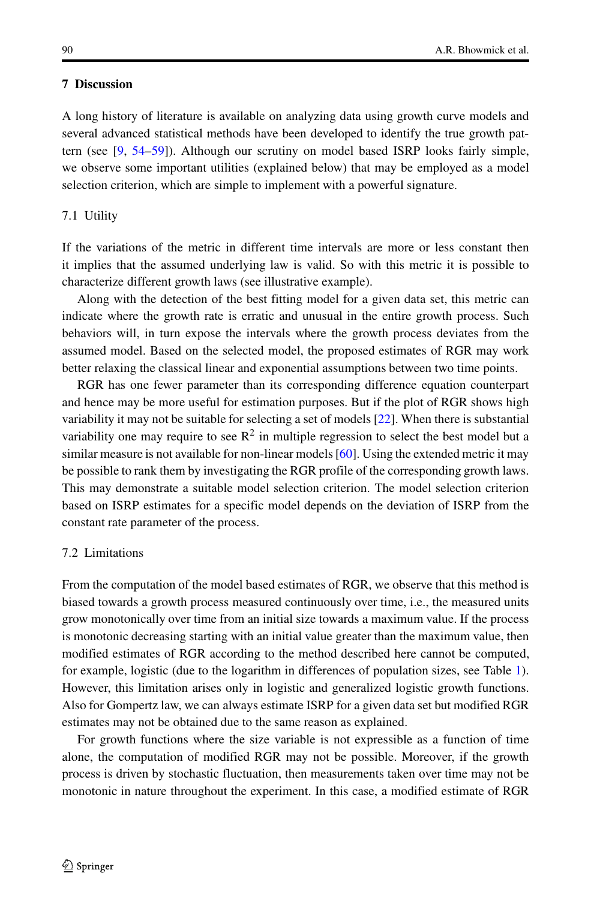# <span id="page-19-0"></span>**7 Discussion**

A long history of literature is available on analyzing data using growth curve models and several advanced statistical methods have been developed to identify the true growth pattern (see [\[9,](#page-23-8) [54](#page-24-22)[–59\]](#page-24-23)). Although our scrutiny on model based ISRP looks fairly simple, we observe some important utilities (explained below) that may be employed as a model selection criterion, which are simple to implement with a powerful signature.

#### 7.1 Utility

If the variations of the metric in different time intervals are more or less constant then it implies that the assumed underlying law is valid. So with this metric it is possible to characterize different growth laws (see illustrative example).

Along with the detection of the best fitting model for a given data set, this metric can indicate where the growth rate is erratic and unusual in the entire growth process. Such behaviors will, in turn expose the intervals where the growth process deviates from the assumed model. Based on the selected model, the proposed estimates of RGR may work better relaxing the classical linear and exponential assumptions between two time points.

RGR has one fewer parameter than its corresponding difference equation counterpart and hence may be more useful for estimation purposes. But if the plot of RGR shows high variability it may not be suitable for selecting a set of models [\[22\]](#page-23-21). When there is substantial variability one may require to see  $\mathbb{R}^2$  in multiple regression to select the best model but a similar measure is not available for non-linear models [\[60\]](#page-24-24). Using the extended metric it may be possible to rank them by investigating the RGR profile of the corresponding growth laws. This may demonstrate a suitable model selection criterion. The model selection criterion based on ISRP estimates for a specific model depends on the deviation of ISRP from the constant rate parameter of the process.

# 7.2 Limitations

From the computation of the model based estimates of RGR, we observe that this method is biased towards a growth process measured continuously over time, i.e., the measured units grow monotonically over time from an initial size towards a maximum value. If the process is monotonic decreasing starting with an initial value greater than the maximum value, then modified estimates of RGR according to the method described here cannot be computed, for example, logistic (due to the logarithm in differences of population sizes, see Table [1\)](#page-5-0). However, this limitation arises only in logistic and generalized logistic growth functions. Also for Gompertz law, we can always estimate ISRP for a given data set but modified RGR estimates may not be obtained due to the same reason as explained.

For growth functions where the size variable is not expressible as a function of time alone, the computation of modified RGR may not be possible. Moreover, if the growth process is driven by stochastic fluctuation, then measurements taken over time may not be monotonic in nature throughout the experiment. In this case, a modified estimate of RGR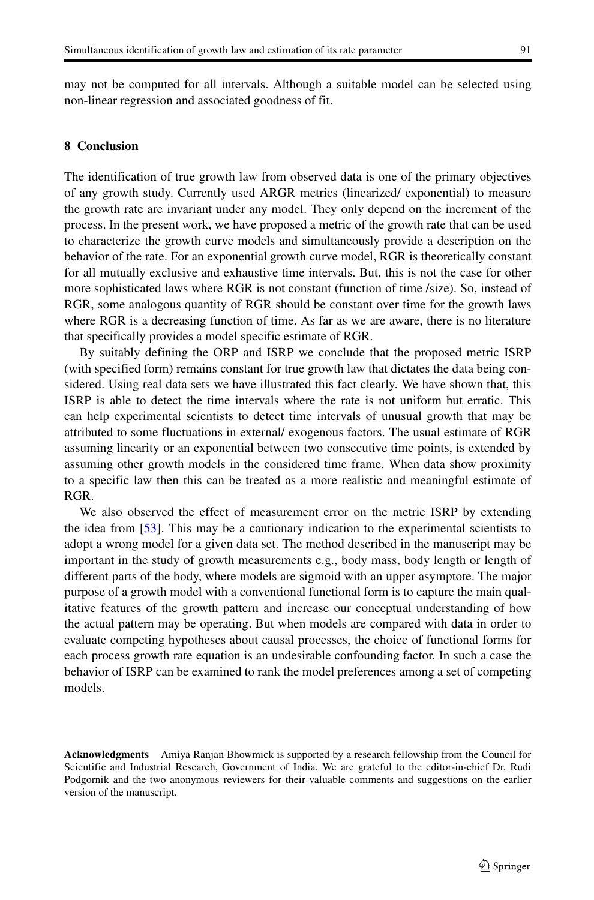may not be computed for all intervals. Although a suitable model can be selected using non-linear regression and associated goodness of fit.

#### <span id="page-20-0"></span>**8 Conclusion**

The identification of true growth law from observed data is one of the primary objectives of any growth study. Currently used ARGR metrics (linearized/ exponential) to measure the growth rate are invariant under any model. They only depend on the increment of the process. In the present work, we have proposed a metric of the growth rate that can be used to characterize the growth curve models and simultaneously provide a description on the behavior of the rate. For an exponential growth curve model, RGR is theoretically constant for all mutually exclusive and exhaustive time intervals. But, this is not the case for other more sophisticated laws where RGR is not constant (function of time /size). So, instead of RGR, some analogous quantity of RGR should be constant over time for the growth laws where RGR is a decreasing function of time. As far as we are aware, there is no literature that specifically provides a model specific estimate of RGR.

By suitably defining the ORP and ISRP we conclude that the proposed metric ISRP (with specified form) remains constant for true growth law that dictates the data being considered. Using real data sets we have illustrated this fact clearly. We have shown that, this ISRP is able to detect the time intervals where the rate is not uniform but erratic. This can help experimental scientists to detect time intervals of unusual growth that may be attributed to some fluctuations in external/ exogenous factors. The usual estimate of RGR assuming linearity or an exponential between two consecutive time points, is extended by assuming other growth models in the considered time frame. When data show proximity to a specific law then this can be treated as a more realistic and meaningful estimate of RGR.

We also observed the effect of measurement error on the metric ISRP by extending the idea from [\[53\]](#page-24-21). This may be a cautionary indication to the experimental scientists to adopt a wrong model for a given data set. The method described in the manuscript may be important in the study of growth measurements e.g., body mass, body length or length of different parts of the body, where models are sigmoid with an upper asymptote. The major purpose of a growth model with a conventional functional form is to capture the main qualitative features of the growth pattern and increase our conceptual understanding of how the actual pattern may be operating. But when models are compared with data in order to evaluate competing hypotheses about causal processes, the choice of functional forms for each process growth rate equation is an undesirable confounding factor. In such a case the behavior of ISRP can be examined to rank the model preferences among a set of competing models.

**Acknowledgments** Amiya Ranjan Bhowmick is supported by a research fellowship from the Council for Scientific and Industrial Research, Government of India. We are grateful to the editor-in-chief Dr. Rudi Podgornik and the two anonymous reviewers for their valuable comments and suggestions on the earlier version of the manuscript.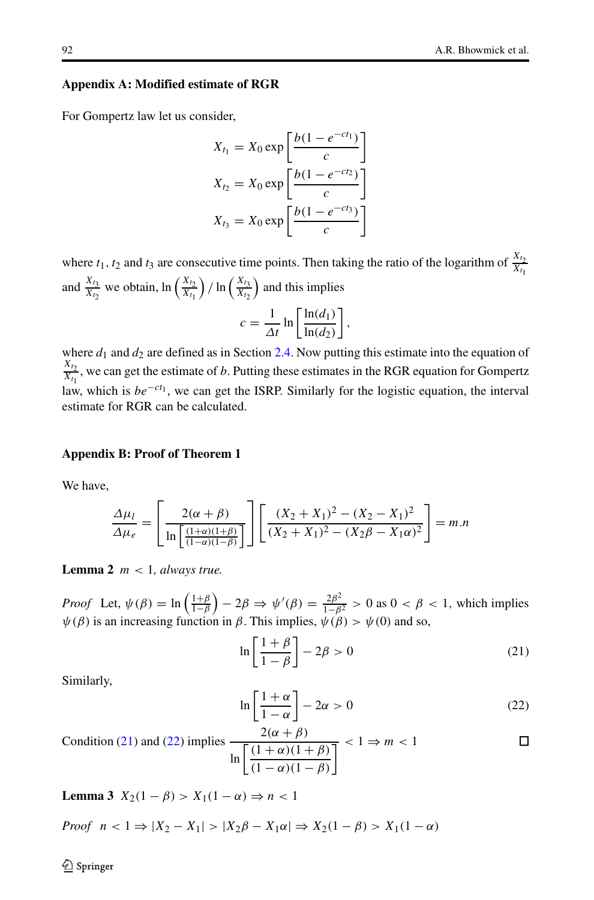#### **Appendix A: Modified estimate of RGR**

<span id="page-21-0"></span>For Gompertz law let us consider,

$$
X_{t_1} = X_0 \exp\left[\frac{b(1 - e^{-ct_1})}{c}\right]
$$

$$
X_{t_2} = X_0 \exp\left[\frac{b(1 - e^{-ct_2})}{c}\right]
$$

$$
X_{t_3} = X_0 \exp\left[\frac{b(1 - e^{-ct_3})}{c}\right]
$$

where  $t_1, t_2$  and  $t_3$  are consecutive time points. Then taking the ratio of the logarithm of  $\frac{X_{t_2}}{X_{t_1}}$ and  $\frac{X_{t_3}}{X_{t_2}}$  we obtain,  $\ln\left(\frac{X_{t_2}}{X_{t_1}}\right)$  $\int$  / ln  $\left(\frac{X_{t_3}}{X_{t_2}}\right)$ ) and this implies

$$
c = \frac{1}{\Delta t} \ln \left[ \frac{\ln(d_1)}{\ln(d_2)} \right],
$$

where  $d_1$  and  $d_2$  are defined as in Section [2.4.](#page-6-0) Now putting this estimate into the equation of  $\frac{X_{t_2}}{X_{t_1}}$ , we can get the estimate of *b*. Putting these estimates in the RGR equation for Gompertz law, which is  $be^{-ct_1}$ , we can get the ISRP. Similarly for the logistic equation, the interval estimate for RGR can be calculated.

# <span id="page-21-1"></span>**Appendix B: Proof of Theorem 1**

We have,

$$
\frac{\Delta\mu_l}{\Delta\mu_e} = \left[ \frac{2(\alpha + \beta)}{\ln \left[ \frac{(1+\alpha)(1+\beta)}{(1-\alpha)(1-\beta)} \right]} \right] \left[ \frac{(X_2 + X_1)^2 - (X_2 - X_1)^2}{(X_2 + X_1)^2 - (X_2\beta - X_1\alpha)^2} \right] = m.n
$$

**Lemma 2** *m <* 1*, always true.*

*Proof* Let,  $\psi(\beta) = \ln\left(\frac{1+\beta}{1-\beta}\right)$  $(-2\beta \Rightarrow \psi'(\beta) = \frac{2\beta^2}{1-\beta^2} > 0$  as  $0 < \beta < 1$ , which implies  $\psi(\beta)$  is an increasing function in  $\beta$ . This implies,  $\psi(\beta) > \psi(0)$  and so,

$$
\ln\left[\frac{1+\beta}{1-\beta}\right]-2\beta>0\tag{21}
$$

<span id="page-21-2"></span>Similarly,

$$
\ln\left[\frac{1+\alpha}{1-\alpha}\right] - 2\alpha > 0\tag{22}
$$

Condition (21) and (22) implies 
$$
\frac{2(\alpha + \beta)}{\ln \left[ \frac{(1 + \alpha)(1 + \beta)}{(1 - \alpha)(1 - \beta)} \right]} < 1 \Rightarrow m < 1
$$

**Lemma 3**  $X_2(1 - \beta) > X_1(1 - \alpha) \Rightarrow n < 1$ 

*Proof* 
$$
n < 1 \Rightarrow |X_2 - X_1| > |X_2\beta - X_1\alpha| \Rightarrow X_2(1 - \beta) > X_1(1 - \alpha)
$$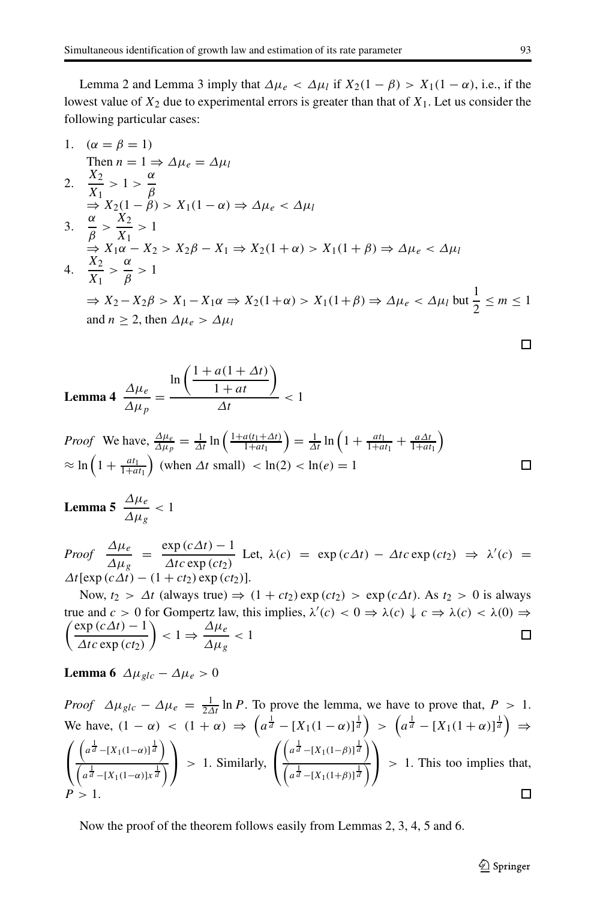Lemma 2 and Lemma 3 imply that  $Δμ_e < Δμ_l$  if  $X_2(1 - β) > X_1(1 - α)$ , i.e., if the lowest value of  $X_2$  due to experimental errors is greater than that of  $X_1$ . Let us consider the following particular cases:

1. 
$$
(\alpha = \beta = 1)
$$
  
\nThen  $n = 1 \Rightarrow \Delta \mu_e = \Delta \mu_l$   
\n2.  $\frac{X_2}{X_1} > 1 > \frac{\alpha}{\beta}$   
\n $\Rightarrow X_2(1 - \beta) > X_1(1 - \alpha) \Rightarrow \Delta \mu_e < \Delta \mu_l$   
\n3.  $\frac{\alpha}{\beta} > \frac{X_2}{X_1} > 1$   
\n $\Rightarrow X_1\alpha - X_2 > X_2\beta - X_1 \Rightarrow X_2(1 + \alpha) > X_1(1 + \beta) \Rightarrow \Delta \mu_e < \Delta \mu_l$   
\n4.  $\frac{X_2}{X_1} > \frac{\alpha}{\beta} > 1$   
\n $\Rightarrow X_2 - X_2\beta > X_1 - X_1\alpha \Rightarrow X_2(1 + \alpha) > X_1(1 + \beta) \Rightarrow \Delta \mu_e < \Delta \mu_l$  but  $\frac{1}{2} \le m \le 1$   
\nand  $n \ge 2$ , then  $\Delta \mu_e > \Delta \mu_l$ 

$$
\textbf{Lemma 4} \quad \frac{\Delta \mu_e}{\Delta \mu_p} = \frac{\ln \left( \frac{1 + a(1 + \Delta t)}{1 + at} \right)}{\Delta t} < 1
$$

*Proof* We have, 
$$
\frac{\Delta \mu_e}{\Delta \mu_p} = \frac{1}{\Delta t} \ln \left( \frac{1 + a(t_1 + \Delta t)}{1 + a t_1} \right) = \frac{1}{\Delta t} \ln \left( 1 + \frac{a t_1}{1 + a t_1} + \frac{a \Delta t}{1 + a t_1} \right)
$$
  
\n $\approx \ln \left( 1 + \frac{a t_1}{1 + a t_1} \right)$  (when  $\Delta t$  small)  $< \ln(2) < \ln(e) = 1$ 

# **Lemma 5**  $\frac{\Delta \mu_e}{\Delta \mu_g} < 1$

*Proof*  $\frac{\Delta \mu_e}{\Delta \mu_g} = \frac{\exp{(c\Delta t)} - 1}{\Delta t c \exp{(ct_2)}}$  Let,  $\lambda(c) = \exp{(c\Delta t)} - \Delta t c \exp{(ct_2)} \Rightarrow \lambda'(c) =$  $\Delta t$ [exp  $(c\Delta t) - (1 + ct_2)$  exp  $(ct_2)$ ].

Now,  $t_2 > \Delta t$  (always true)  $\Rightarrow (1 + ct_2) \exp(ct_2) > \exp(c\Delta t)$ . As  $t_2 > 0$  is always true and  $c > 0$  for Gompertz law, this implies,  $\lambda'(c) < 0 \Rightarrow \lambda(c) \downarrow c \Rightarrow \lambda(c) < \lambda(0) \Rightarrow$  $\int \exp\left(c\Delta t\right) - 1$  $\left( \frac{\Delta \mu_e}{\Delta \mu_g} < 1 \right)$  $\Box$ *Δtc* exp (*ct*<sub>2</sub>)

**Lemma 6**  $\Delta \mu_{glc} - \Delta \mu_e > 0$ 

Proof 
$$
\Delta \mu_{glc} - \Delta \mu_e = \frac{1}{2\Delta t} \ln P
$$
. To prove the lemma, we have to prove that,  $P > 1$ .  
\nWe have,  $(1 - \alpha) < (1 + \alpha) \Rightarrow (a^{\frac{1}{d}} - [X_1(1 - \alpha)]^{\frac{1}{d}}) > (a^{\frac{1}{d}} - [X_1(1 + \alpha)]^{\frac{1}{d}}) \Rightarrow$   
\n $\left( \frac{(a^{\frac{1}{d}} - [X_1(1 - \alpha)]^{\frac{1}{d}})}{(a^{\frac{1}{d}} - [X_1(1 - \alpha)]^{\frac{1}{d}})} \right) > 1$ . Similarly,  $\left( \frac{(a^{\frac{1}{d}} - [X_1(1 - \beta)]^{\frac{1}{d}})}{(a^{\frac{1}{d}} - [X_1(1 + \beta)]^{\frac{1}{d}})} \right) > 1$ . This too implies that,  
\n $P > 1$ .

Now the proof of the theorem follows easily from Lemmas 2, 3, 4, 5 and 6.

 $\Box$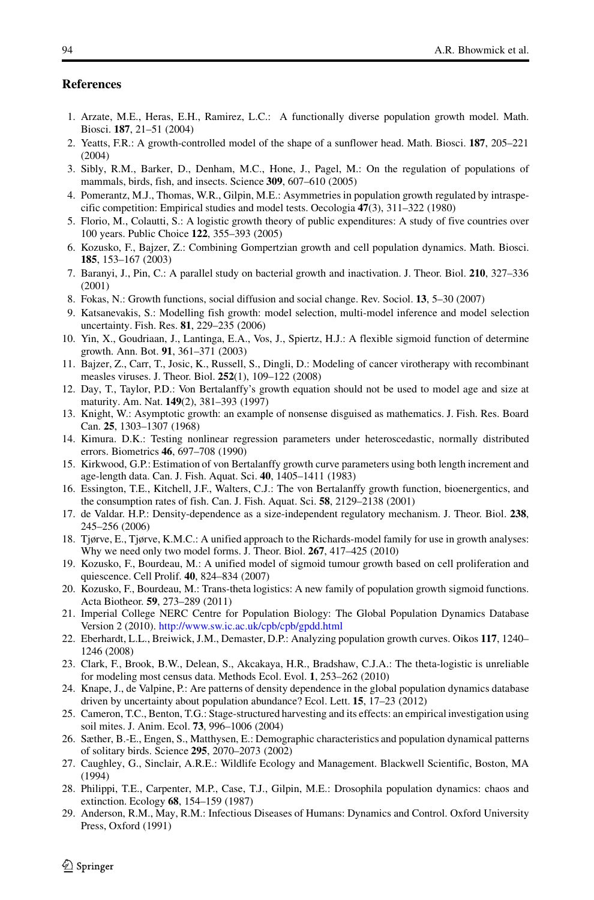#### **References**

- <span id="page-23-0"></span>1. Arzate, M.E., Heras, E.H., Ramirez, L.C.: A functionally diverse population growth model. Math. Biosci. **187**, 21–51 (2004)
- <span id="page-23-1"></span>2. Yeatts, F.R.: A growth-controlled model of the shape of a sunflower head. Math. Biosci. **187**, 205–221 (2004)
- <span id="page-23-2"></span>3. Sibly, R.M., Barker, D., Denham, M.C., Hone, J., Pagel, M.: On the regulation of populations of mammals, birds, fish, and insects. Science **309**, 607–610 (2005)
- <span id="page-23-3"></span>4. Pomerantz, M.J., Thomas, W.R., Gilpin, M.E.: Asymmetries in population growth regulated by intraspecific competition: Empirical studies and model tests. Oecologia **47**(3), 311–322 (1980)
- <span id="page-23-4"></span>5. Florio, M., Colautti, S.: A logistic growth theory of public expenditures: A study of five countries over 100 years. Public Choice **122**, 355–393 (2005)
- <span id="page-23-5"></span>6. Kozusko, F., Bajzer, Z.: Combining Gompertzian growth and cell population dynamics. Math. Biosci. **185**, 153–167 (2003)
- <span id="page-23-6"></span>7. Baranyi, J., Pin, C.: A parallel study on bacterial growth and inactivation. J. Theor. Biol. **210**, 327–336 (2001)
- <span id="page-23-7"></span>8. Fokas, N.: Growth functions, social diffusion and social change. Rev. Sociol. **13**, 5–30 (2007)
- <span id="page-23-8"></span>9. Katsanevakis, S.: Modelling fish growth: model selection, multi-model inference and model selection uncertainty. Fish. Res. **81**, 229–235 (2006)
- <span id="page-23-9"></span>10. Yin, X., Goudriaan, J., Lantinga, E.A., Vos, J., Spiertz, H.J.: A flexible sigmoid function of determine growth. Ann. Bot. **91**, 361–371 (2003)
- <span id="page-23-10"></span>11. Bajzer, Z., Carr, T., Josic, K., Russell, S., Dingli, D.: Modeling of cancer virotherapy with recombinant measles viruses. J. Theor. Biol. **252**(1), 109–122 (2008)
- <span id="page-23-11"></span>12. Day, T., Taylor, P.D.: Von Bertalanffy's growth equation should not be used to model age and size at maturity. Am. Nat. **149**(2), 381–393 (1997)
- <span id="page-23-12"></span>13. Knight, W.: Asymptotic growth: an example of nonsense disguised as mathematics. J. Fish. Res. Board Can. **25**, 1303–1307 (1968)
- <span id="page-23-13"></span>14. Kimura. D.K.: Testing nonlinear regression parameters under heteroscedastic, normally distributed errors. Biometrics **46**, 697–708 (1990)
- <span id="page-23-14"></span>15. Kirkwood, G.P.: Estimation of von Bertalanffy growth curve parameters using both length increment and age-length data. Can. J. Fish. Aquat. Sci. **40**, 1405–1411 (1983)
- <span id="page-23-15"></span>16. Essington, T.E., Kitchell, J.F., Walters, C.J.: The von Bertalanffy growth function, bioenergentics, and the consumption rates of fish. Can. J. Fish. Aquat. Sci. **58**, 2129–2138 (2001)
- <span id="page-23-16"></span>17. de Valdar. H.P.: Density-dependence as a size-independent regulatory mechanism. J. Theor. Biol. **238**, 245–256 (2006)
- <span id="page-23-17"></span>18. Tjørve, E., Tjørve, K.M.C.: A unified approach to the Richards-model family for use in growth analyses: Why we need only two model forms. J. Theor. Biol. **267**, 417–425 (2010)
- <span id="page-23-18"></span>19. Kozusko, F., Bourdeau, M.: A unified model of sigmoid tumour growth based on cell proliferation and quiescence. Cell Prolif. **40**, 824–834 (2007)
- <span id="page-23-19"></span>20. Kozusko, F., Bourdeau, M.: Trans-theta logistics: A new family of population growth sigmoid functions. Acta Biotheor. **59**, 273–289 (2011)
- <span id="page-23-20"></span>21. Imperial College NERC Centre for Population Biology: The Global Population Dynamics Database Version 2 (2010). <http://www.sw.ic.ac.uk/cpb/cpb/gpdd.html>
- <span id="page-23-21"></span>22. Eberhardt, L.L., Breiwick, J.M., Demaster, D.P.: Analyzing population growth curves. Oikos **117**, 1240– 1246 (2008)
- <span id="page-23-22"></span>23. Clark, F., Brook, B.W., Delean, S., Akcakaya, H.R., Bradshaw, C.J.A.: The theta-logistic is unreliable for modeling most census data. Methods Ecol. Evol. **1**, 253–262 (2010)
- <span id="page-23-23"></span>24. Knape, J., de Valpine, P.: Are patterns of density dependence in the global population dynamics database driven by uncertainty about population abundance? Ecol. Lett. **15**, 17–23 (2012)
- <span id="page-23-24"></span>25. Cameron, T.C., Benton, T.G.: Stage-structured harvesting and its effects: an empirical investigation using soil mites. J. Anim. Ecol. **73**, 996–1006 (2004)
- <span id="page-23-25"></span>26. Sæther, B.-E., Engen, S., Matthysen, E.: Demographic characteristics and population dynamical patterns of solitary birds. Science **295**, 2070–2073 (2002)
- <span id="page-23-26"></span>27. Caughley, G., Sinclair, A.R.E.: Wildlife Ecology and Management. Blackwell Scientific, Boston, MA (1994)
- <span id="page-23-27"></span>28. Philippi, T.E., Carpenter, M.P., Case, T.J., Gilpin, M.E.: Drosophila population dynamics: chaos and extinction. Ecology **68**, 154–159 (1987)
- <span id="page-23-28"></span>29. Anderson, R.M., May, R.M.: Infectious Diseases of Humans: Dynamics and Control. Oxford University Press, Oxford (1991)